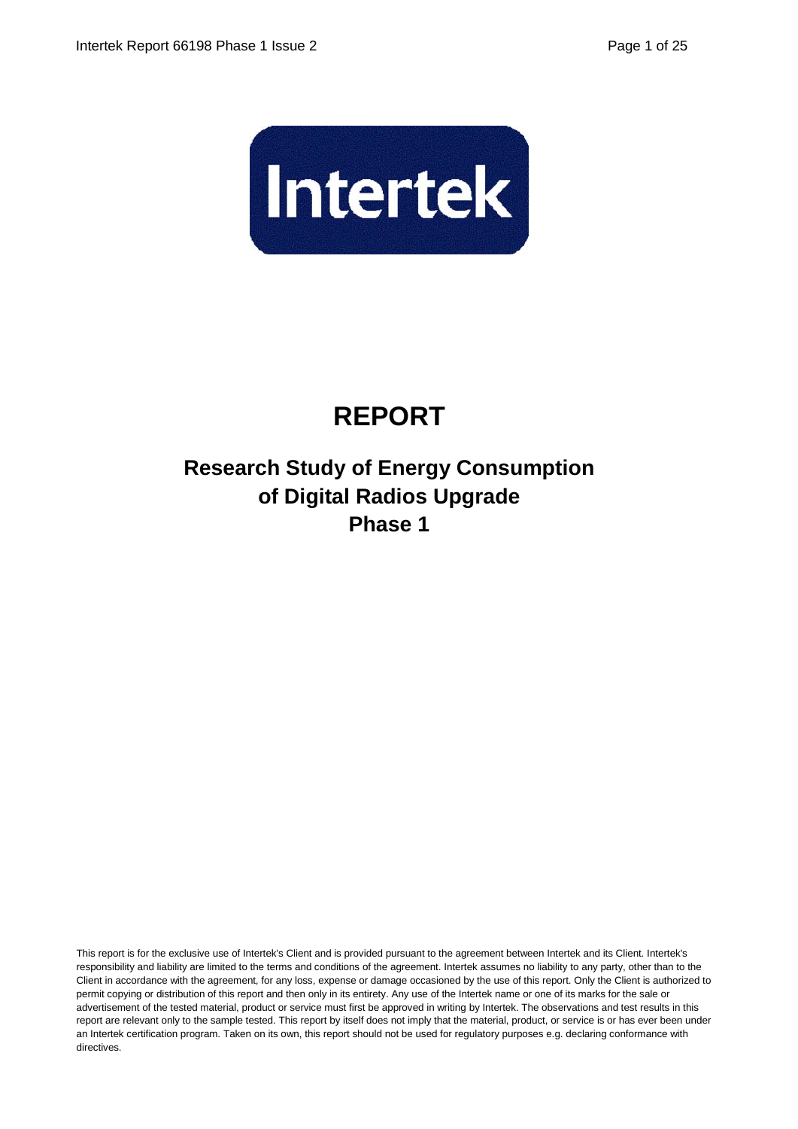

# **REPORT**

# **Research Study of Energy Consumption of Digital Radios Upgrade Phase 1**

This report is for the exclusive use of Intertek's Client and is provided pursuant to the agreement between Intertek and its Client. Intertek's responsibility and liability are limited to the terms and conditions of the agreement. Intertek assumes no liability to any party, other than to the Client in accordance with the agreement, for any loss, expense or damage occasioned by the use of this report. Only the Client is authorized to permit copying or distribution of this report and then only in its entirety. Any use of the Intertek name or one of its marks for the sale or advertisement of the tested material, product or service must first be approved in writing by Intertek. The observations and test results in this report are relevant only to the sample tested. This report by itself does not imply that the material, product, or service is or has ever been under an Intertek certification program. Taken on its own, this report should not be used for regulatory purposes e.g. declaring conformance with directives.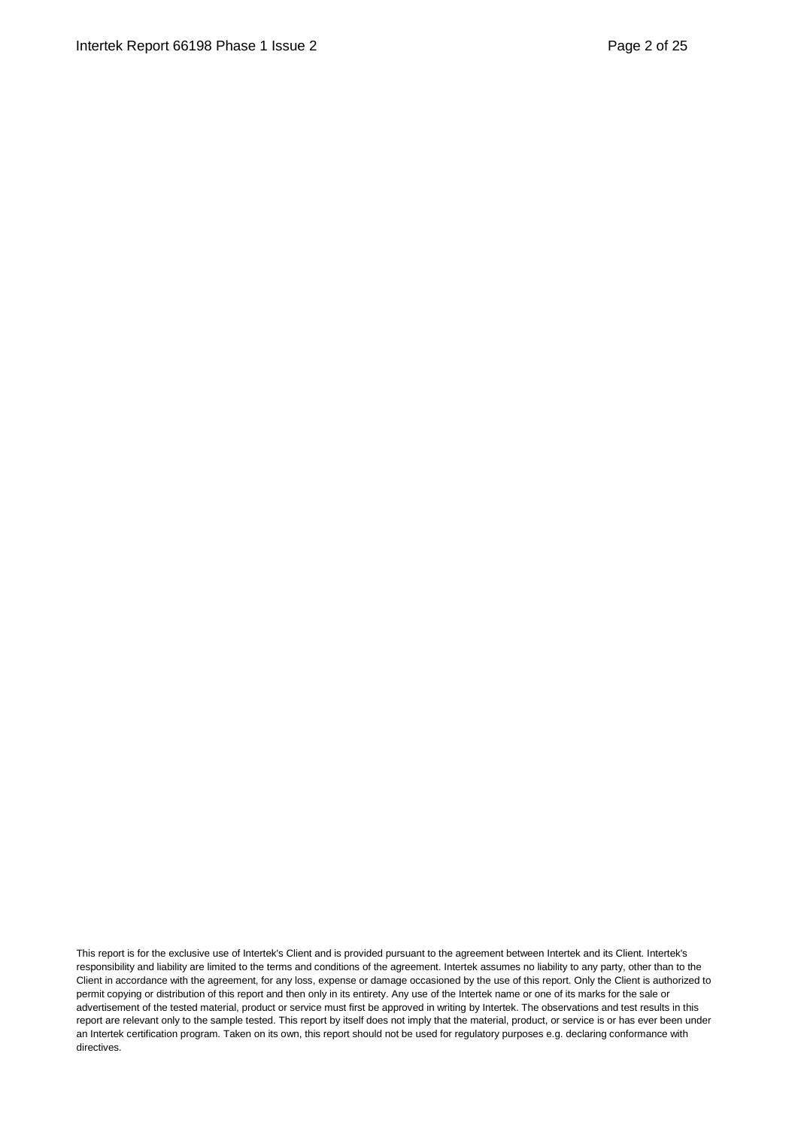This report is for the exclusive use of Intertek's Client and is provided pursuant to the agreement between Intertek and its Client. Intertek's responsibility and liability are limited to the terms and conditions of the agreement. Intertek assumes no liability to any party, other than to the Client in accordance with the agreement, for any loss, expense or damage occasioned by the use of this report. Only the Client is authorized to permit copying or distribution of this report and then only in its entirety. Any use of the Intertek name or one of its marks for the sale or advertisement of the tested material, product or service must first be approved in writing by Intertek. The observations and test results in this report are relevant only to the sample tested. This report by itself does not imply that the material, product, or service is or has ever been under an Intertek certification program. Taken on its own, this report should not be used for regulatory purposes e.g. declaring conformance with directives.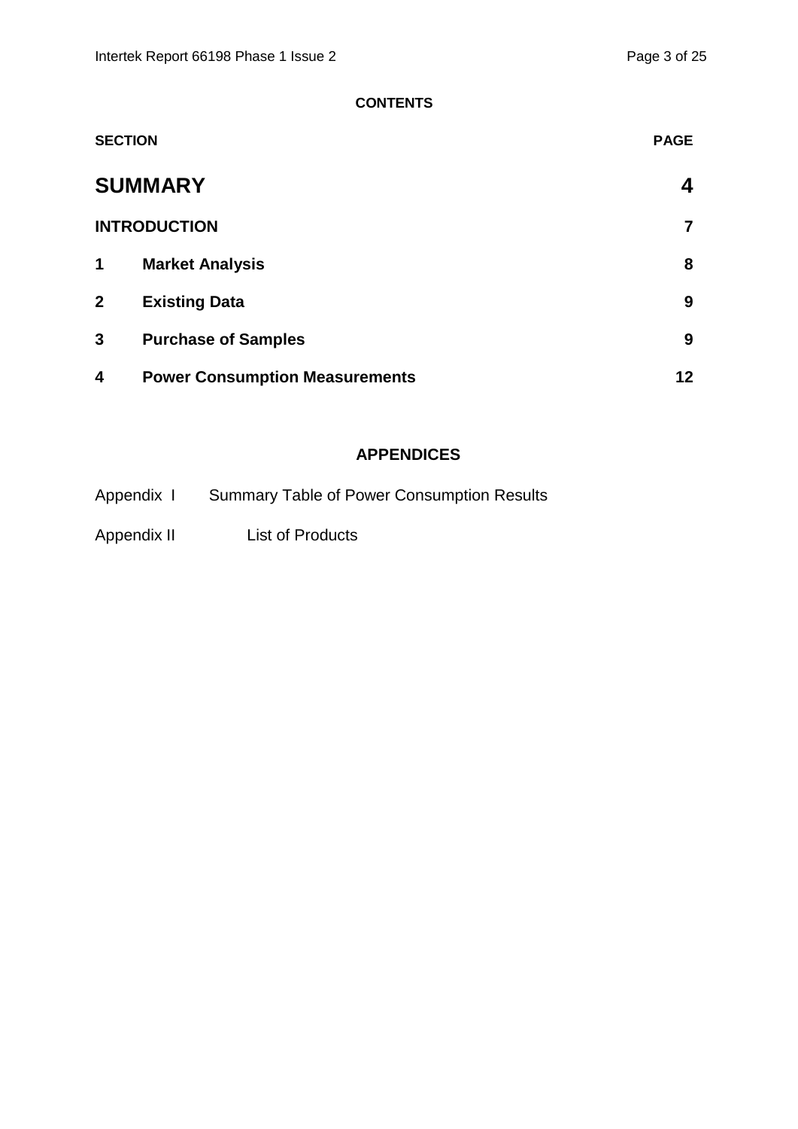#### **CONTENTS**

| <b>SECTION</b> |                                       | <b>PAGE</b> |
|----------------|---------------------------------------|-------------|
|                | <b>SUMMARY</b>                        | 4           |
|                | <b>INTRODUCTION</b>                   | 7           |
| 1              | <b>Market Analysis</b>                | 8           |
| $\overline{2}$ | <b>Existing Data</b>                  | 9           |
| 3              | <b>Purchase of Samples</b>            | 9           |
| 4              | <b>Power Consumption Measurements</b> | 12          |

#### **APPENDICES**

| Appendix I  | <b>Summary Table of Power Consumption Results</b> |
|-------------|---------------------------------------------------|
| Appendix II | <b>List of Products</b>                           |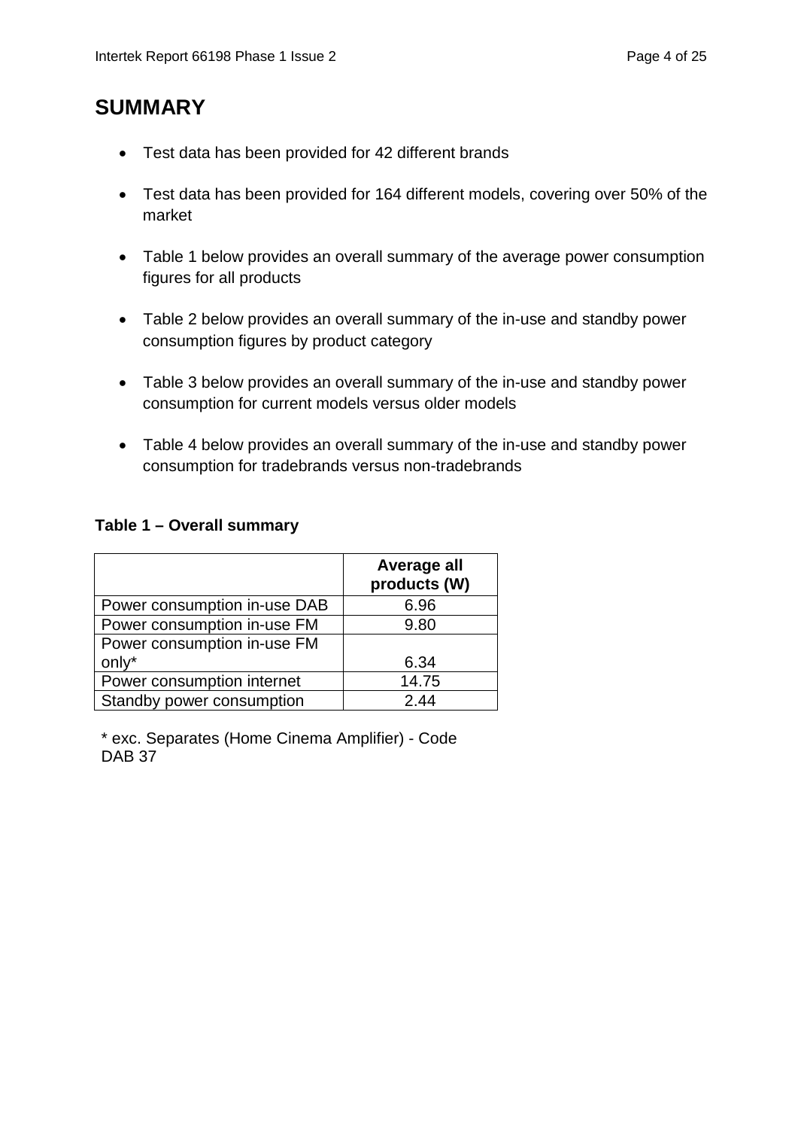# **SUMMARY**

- Test data has been provided for 42 different brands
- Test data has been provided for 164 different models, covering over 50% of the market
- Table 1 below provides an overall summary of the average power consumption figures for all products
- Table 2 below provides an overall summary of the in-use and standby power consumption figures by product category
- Table 3 below provides an overall summary of the in-use and standby power consumption for current models versus older models
- Table 4 below provides an overall summary of the in-use and standby power consumption for tradebrands versus non-tradebrands

#### **Table 1 – Overall summary**

|                              | Average all<br>products (W) |
|------------------------------|-----------------------------|
| Power consumption in-use DAB | 6.96                        |
| Power consumption in-use FM  | 9.80                        |
| Power consumption in-use FM  |                             |
| only*                        | 6.34                        |
| Power consumption internet   | 14.75                       |
| Standby power consumption    | 2.44                        |

\* exc. Separates (Home Cinema Amplifier) - Code DAB<sub>37</sub>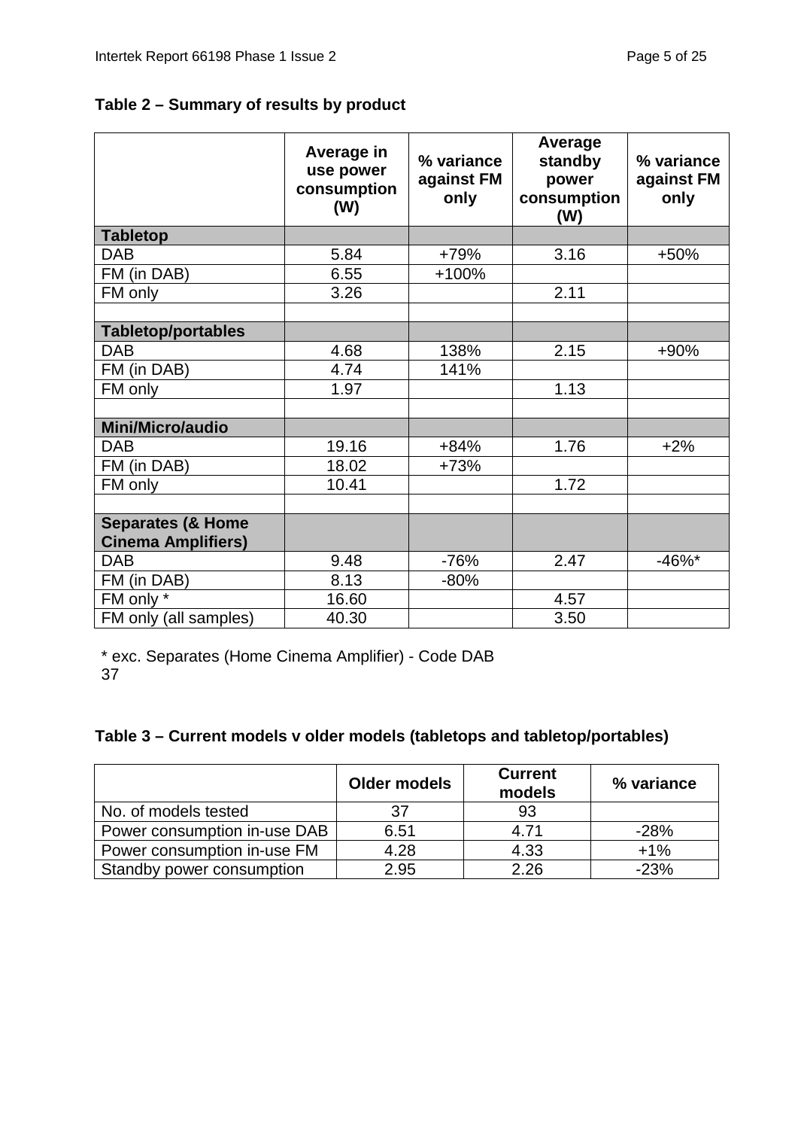### **Table 2 – Summary of results by product**

|                              | Average in<br>use power<br>consumption<br>(W) | % variance<br>against FM<br>only | Average<br>standby<br>power<br>consumption<br>(W) | % variance<br>against FM<br>only |
|------------------------------|-----------------------------------------------|----------------------------------|---------------------------------------------------|----------------------------------|
| <b>Tabletop</b>              |                                               |                                  |                                                   |                                  |
| <b>DAB</b>                   | 5.84                                          | +79%                             | 3.16                                              | +50%                             |
| FM (in DAB)                  | 6.55                                          | +100%                            |                                                   |                                  |
| FM only                      | 3.26                                          |                                  | 2.11                                              |                                  |
|                              |                                               |                                  |                                                   |                                  |
| <b>Tabletop/portables</b>    |                                               |                                  |                                                   |                                  |
| <b>DAB</b>                   | 4.68                                          | 138%                             | 2.15                                              | $+90%$                           |
| FM (in DAB)                  | 4.74                                          | 141%                             |                                                   |                                  |
| FM only                      | 1.97                                          |                                  | 1.13                                              |                                  |
|                              |                                               |                                  |                                                   |                                  |
| Mini/Micro/audio             |                                               |                                  |                                                   |                                  |
| <b>DAB</b>                   | 19.16                                         | $+84%$                           | 1.76                                              | $+2%$                            |
| FM (in DAB)                  | 18.02                                         | $+73%$                           |                                                   |                                  |
| FM only                      | 10.41                                         |                                  | 1.72                                              |                                  |
|                              |                                               |                                  |                                                   |                                  |
| <b>Separates (&amp; Home</b> |                                               |                                  |                                                   |                                  |
| <b>Cinema Amplifiers)</b>    |                                               |                                  |                                                   |                                  |
| <b>DAB</b>                   | 9.48                                          | $-76%$                           | 2.47                                              | $-46%$ *                         |
| FM (in DAB)                  | 8.13                                          | $-80%$                           |                                                   |                                  |
| FM only *                    | 16.60                                         |                                  | 4.57                                              |                                  |
| FM only (all samples)        | 40.30                                         |                                  | 3.50                                              |                                  |

\* exc. Separates (Home Cinema Amplifier) - Code DAB 37

### **Table 3 – Current models v older models (tabletops and tabletop/portables)**

|                              | <b>Older models</b> | <b>Current</b><br>models | % variance |
|------------------------------|---------------------|--------------------------|------------|
| No. of models tested         | 37                  | 93                       |            |
| Power consumption in-use DAB | 6.51                | 4.71                     | $-28%$     |
| Power consumption in-use FM  | 4.28                | 4.33                     | $+1\%$     |
| Standby power consumption    | 2.95                | 2.26                     | $-23%$     |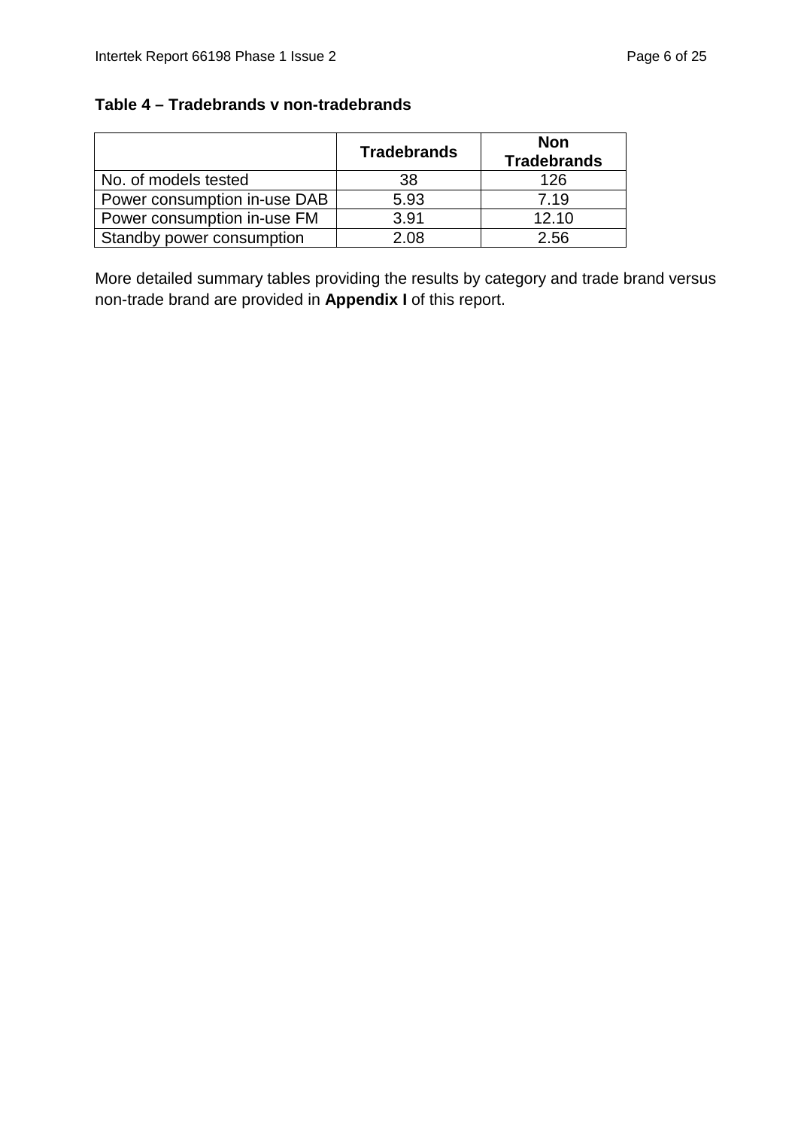#### **Table 4 – Tradebrands v non-tradebrands**

|                              | <b>Tradebrands</b> | <b>Non</b><br><b>Tradebrands</b> |
|------------------------------|--------------------|----------------------------------|
| No. of models tested         | 38                 | 126                              |
| Power consumption in-use DAB | 5.93               | 7.19                             |
| Power consumption in-use FM  | 3.91               | 12.10                            |
| Standby power consumption    | 2.08               | 2.56                             |

More detailed summary tables providing the results by category and trade brand versus non-trade brand are provided in **Appendix I** of this report.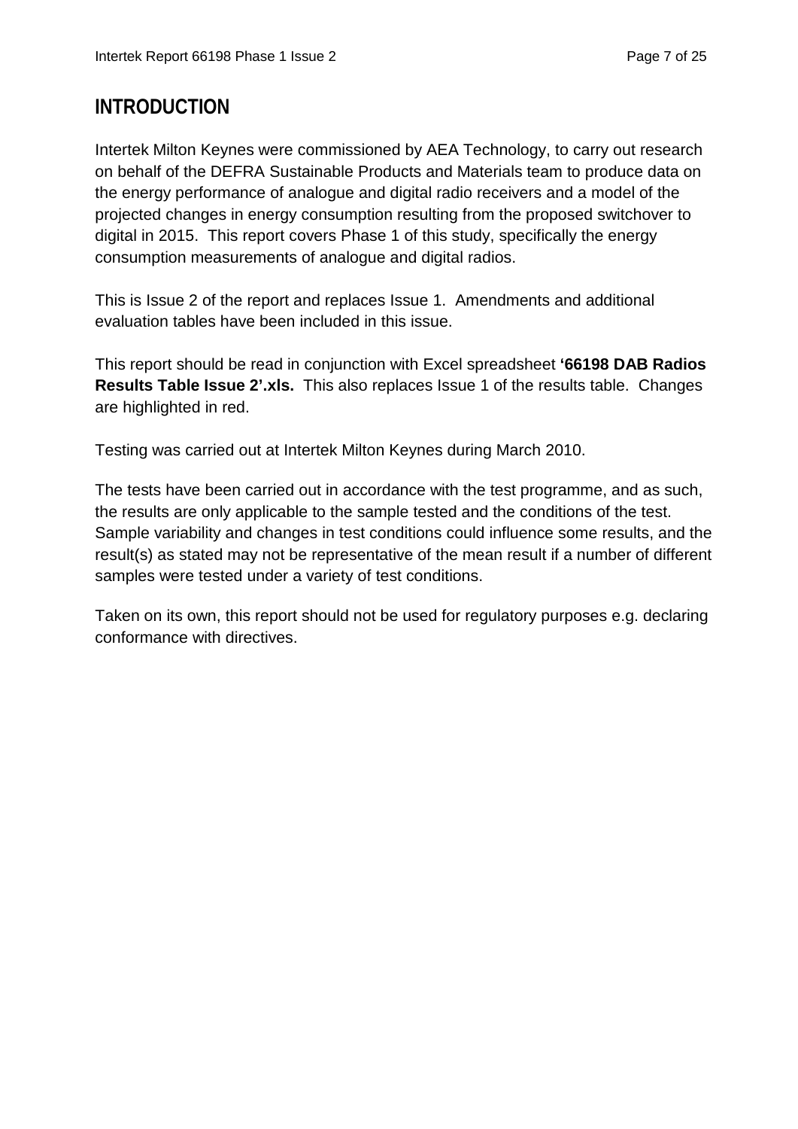### **INTRODUCTION**

Intertek Milton Keynes were commissioned by AEA Technology, to carry out research on behalf of the DEFRA Sustainable Products and Materials team to produce data on the energy performance of analogue and digital radio receivers and a model of the projected changes in energy consumption resulting from the proposed switchover to digital in 2015. This report covers Phase 1 of this study, specifically the energy consumption measurements of analogue and digital radios.

This is Issue 2 of the report and replaces Issue 1. Amendments and additional evaluation tables have been included in this issue.

This report should be read in conjunction with Excel spreadsheet **'66198 DAB Radios Results Table Issue 2'.xls.** This also replaces Issue 1 of the results table. Changes are highlighted in red.

Testing was carried out at Intertek Milton Keynes during March 2010.

The tests have been carried out in accordance with the test programme, and as such, the results are only applicable to the sample tested and the conditions of the test. Sample variability and changes in test conditions could influence some results, and the result(s) as stated may not be representative of the mean result if a number of different samples were tested under a variety of test conditions.

Taken on its own, this report should not be used for regulatory purposes e.g. declaring conformance with directives.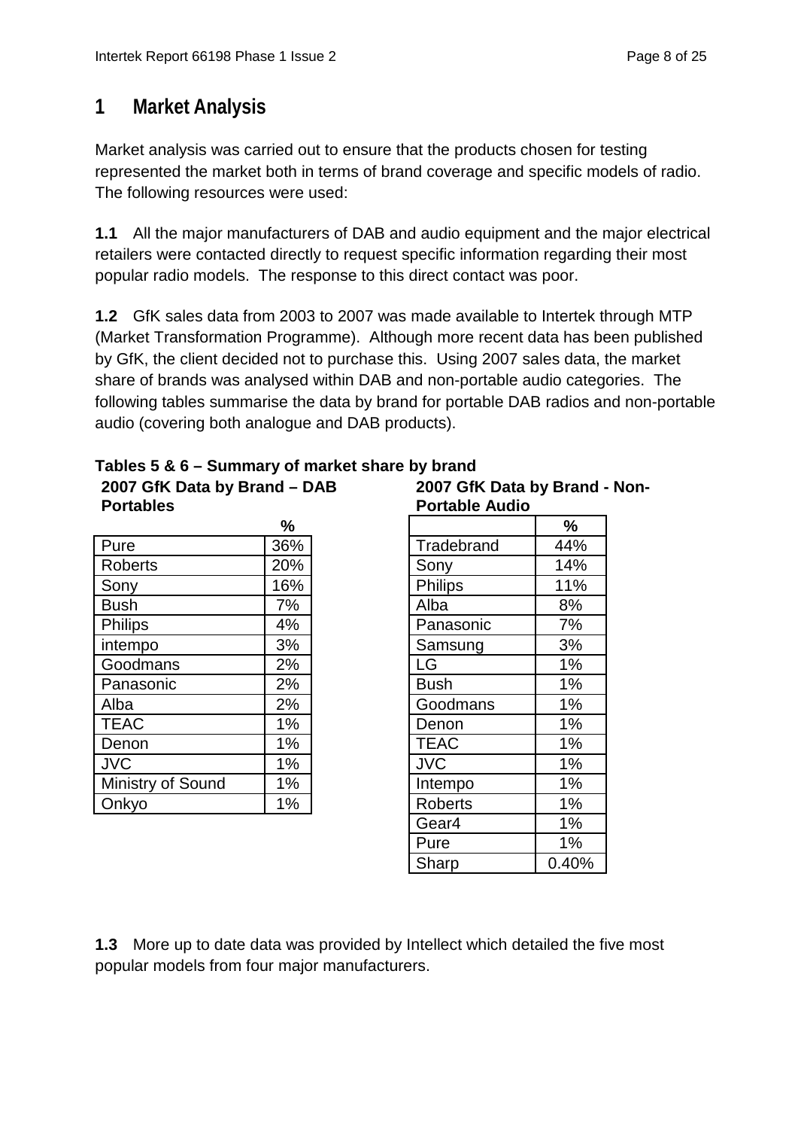# **1 Market Analysis**

Market analysis was carried out to ensure that the products chosen for testing represented the market both in terms of brand coverage and specific models of radio. The following resources were used:

**1.1** All the major manufacturers of DAB and audio equipment and the major electrical retailers were contacted directly to request specific information regarding their most popular radio models. The response to this direct contact was poor.

**1.2** GfK sales data from 2003 to 2007 was made available to Intertek through MTP (Market Transformation Programme). Although more recent data has been published by GfK, the client decided not to purchase this. Using 2007 sales data, the market share of brands was analysed within DAB and non-portable audio categories. The following tables summarise the data by brand for portable DAB radios and non-portable audio (covering both analogue and DAB products).

| <b>Portables</b>  |       | <b>Portable Audio</b> |       |
|-------------------|-------|-----------------------|-------|
|                   | $\%$  |                       | %     |
| Pure              | 36%   | Tradebrand            | 44%   |
| <b>Roberts</b>    | 20%   | Sony                  | 14%   |
| Sony              | 16%   | <b>Philips</b>        | 11%   |
| <b>Bush</b>       | 7%    | Alba                  | 8%    |
| <b>Philips</b>    | 4%    | Panasonic             | 7%    |
| intempo           | 3%    | Samsung               | 3%    |
| Goodmans          | 2%    | <b>LG</b>             | 1%    |
| Panasonic         | 2%    | <b>Bush</b>           | 1%    |
| Alba              | 2%    | Goodmans              | 1%    |
| <b>TEAC</b>       | $1\%$ | Denon                 | $1\%$ |
| Denon             | $1\%$ | <b>TEAC</b>           | 1%    |
| <b>JVC</b>        | $1\%$ | <b>JVC</b>            | $1\%$ |
| Ministry of Sound | $1\%$ | Intempo               | 1%    |
| Onkyo             | $1\%$ | <b>Roberts</b>        | $1\%$ |

**2007 GfK Data by Brand – DAB** 

### **Tables 5 & 6 – Summary of market share by brand**

**2007 GfK Data by Brand - Non-Portable Audio**

| ℅             |                | $\frac{9}{6}$ |
|---------------|----------------|---------------|
| 6%            | Tradebrand     | 44%           |
| 0%            | Sony           | 14%           |
| 6%            | <b>Philips</b> | 11%           |
| $7\%$         | Alba           | 8%            |
| 1%            | Panasonic      | 7%            |
| 3%            | Samsung        | 3%            |
| $2\%$         | LG             | 1%            |
| $2\%$         | <b>Bush</b>    | 1%            |
| $2\%$         | Goodmans       | 1%            |
| $\frac{9}{6}$ | Denon          | 1%            |
| $\frac{9}{6}$ | <b>TEAC</b>    | 1%            |
| $\frac{9}{6}$ | <b>JVC</b>     | 1%            |
| $\frac{9}{6}$ | Intempo        | 1%            |
| $\frac{9}{6}$ | <b>Roberts</b> | 1%            |
|               | Gear4          | 1%            |
|               | Pure           | 1%            |
|               | Sharp          | 0.40%         |
|               |                |               |

**1.3** More up to date data was provided by Intellect which detailed the five most popular models from four major manufacturers.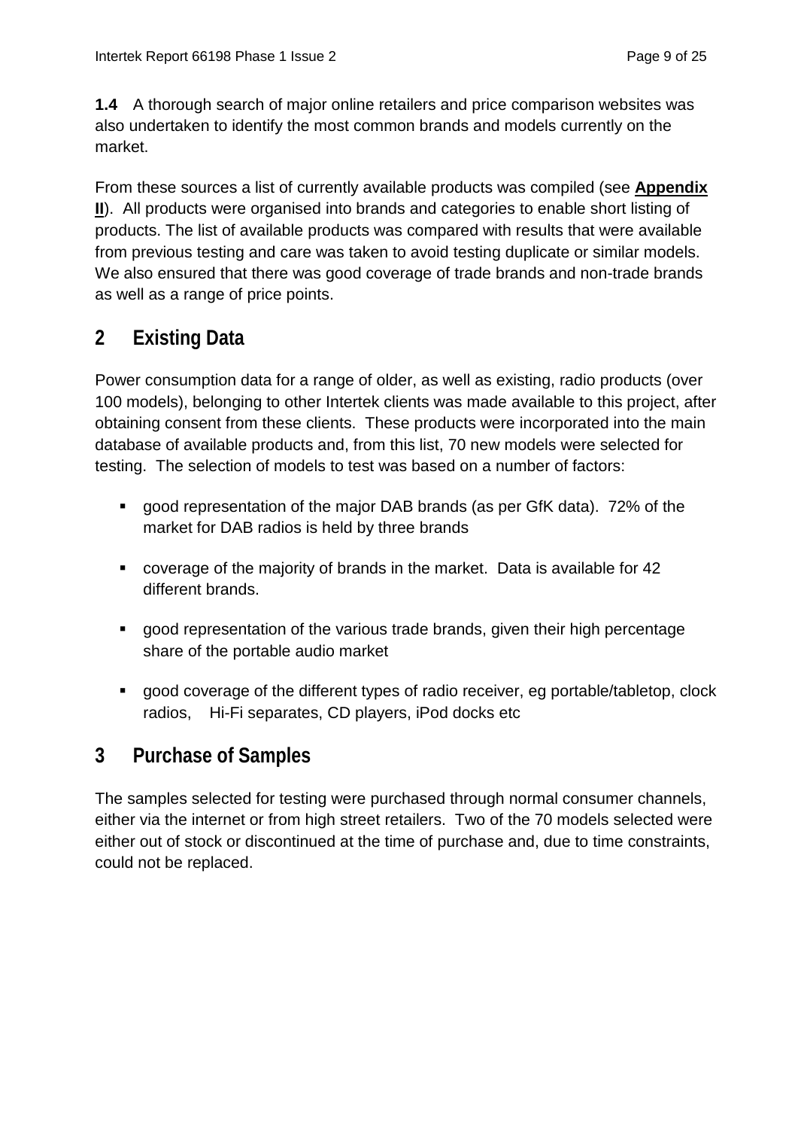**1.4** A thorough search of major online retailers and price comparison websites was also undertaken to identify the most common brands and models currently on the market.

From these sources a list of currently available products was compiled (see **Appendix II**). All products were organised into brands and categories to enable short listing of products. The list of available products was compared with results that were available from previous testing and care was taken to avoid testing duplicate or similar models. We also ensured that there was good coverage of trade brands and non-trade brands as well as a range of price points.

# **2 Existing Data**

Power consumption data for a range of older, as well as existing, radio products (over 100 models), belonging to other Intertek clients was made available to this project, after obtaining consent from these clients. These products were incorporated into the main database of available products and, from this list, 70 new models were selected for testing. The selection of models to test was based on a number of factors:

- good representation of the major DAB brands (as per GfK data). 72% of the market for DAB radios is held by three brands
- coverage of the majority of brands in the market. Data is available for 42 different brands.
- good representation of the various trade brands, given their high percentage share of the portable audio market
- good coverage of the different types of radio receiver, eg portable/tabletop, clock radios, Hi-Fi separates, CD players, iPod docks etc

### **3 Purchase of Samples**

The samples selected for testing were purchased through normal consumer channels, either via the internet or from high street retailers. Two of the 70 models selected were either out of stock or discontinued at the time of purchase and, due to time constraints, could not be replaced.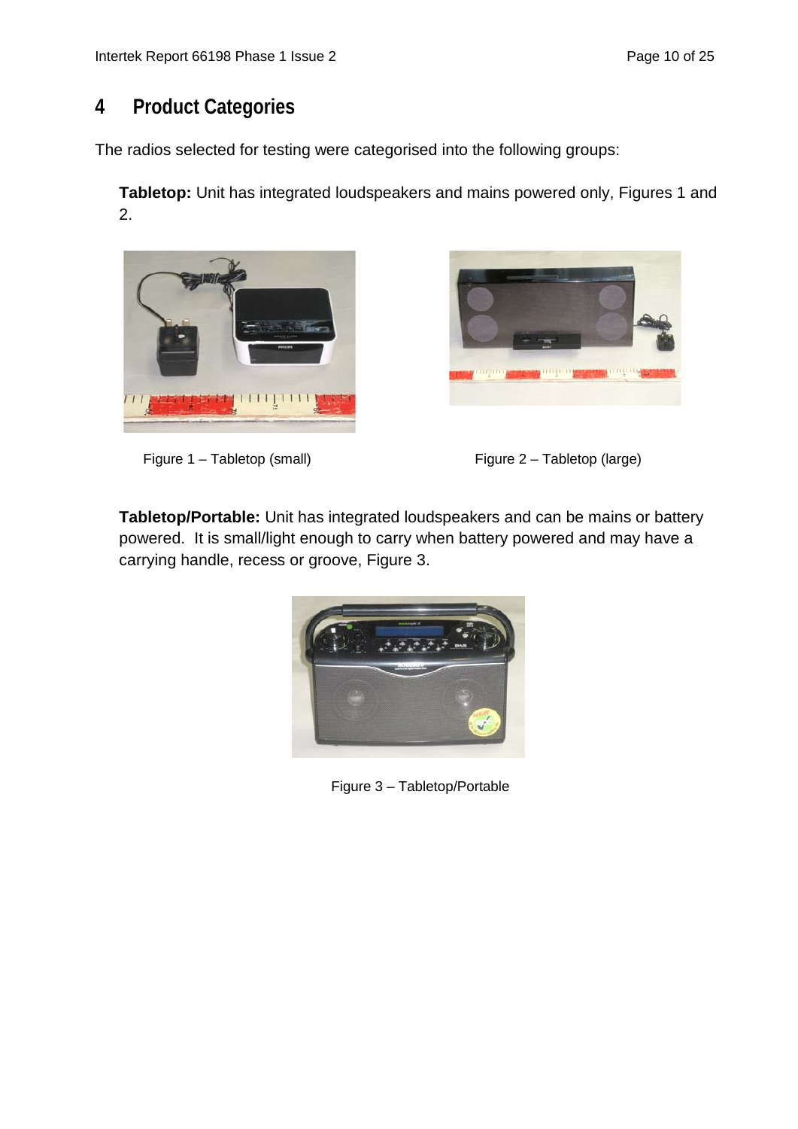# **4 Product Categories**

The radios selected for testing were categorised into the following groups:

**Tabletop:** Unit has integrated loudspeakers and mains powered only, Figures 1 and 2.









**Tabletop/Portable:** Unit has integrated loudspeakers and can be mains or battery powered. It is small/light enough to carry when battery powered and may have a carrying handle, recess or groove, Figure 3.



Figure 3 – Tabletop/Portable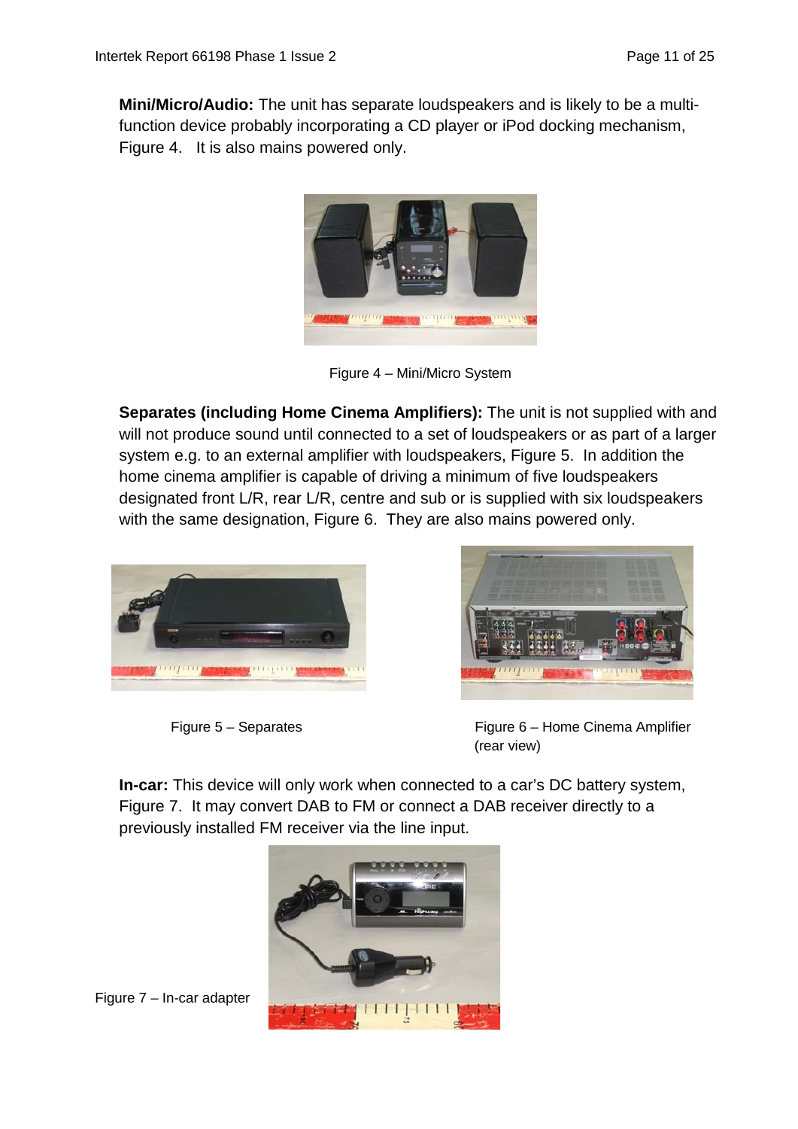**Mini/Micro/Audio:** The unit has separate loudspeakers and is likely to be a multifunction device probably incorporating a CD player or iPod docking mechanism, Figure 4. It is also mains powered only.



Figure 4 – Mini/Micro System

**Separates (including Home Cinema Amplifiers):** The unit is not supplied with and will not produce sound until connected to a set of loudspeakers or as part of a larger system e.g. to an external amplifier with loudspeakers, Figure 5. In addition the home cinema amplifier is capable of driving a minimum of five loudspeakers designated front L/R, rear L/R, centre and sub or is supplied with six loudspeakers with the same designation, Figure 6. They are also mains powered only.





Figure 5 – Separates Figure 6 – Home Cinema Amplifier (rear view)

**In-car:** This device will only work when connected to a car's DC battery system, Figure 7. It may convert DAB to FM or connect a DAB receiver directly to a previously installed FM receiver via the line input.



Figure 7 – In-car adapter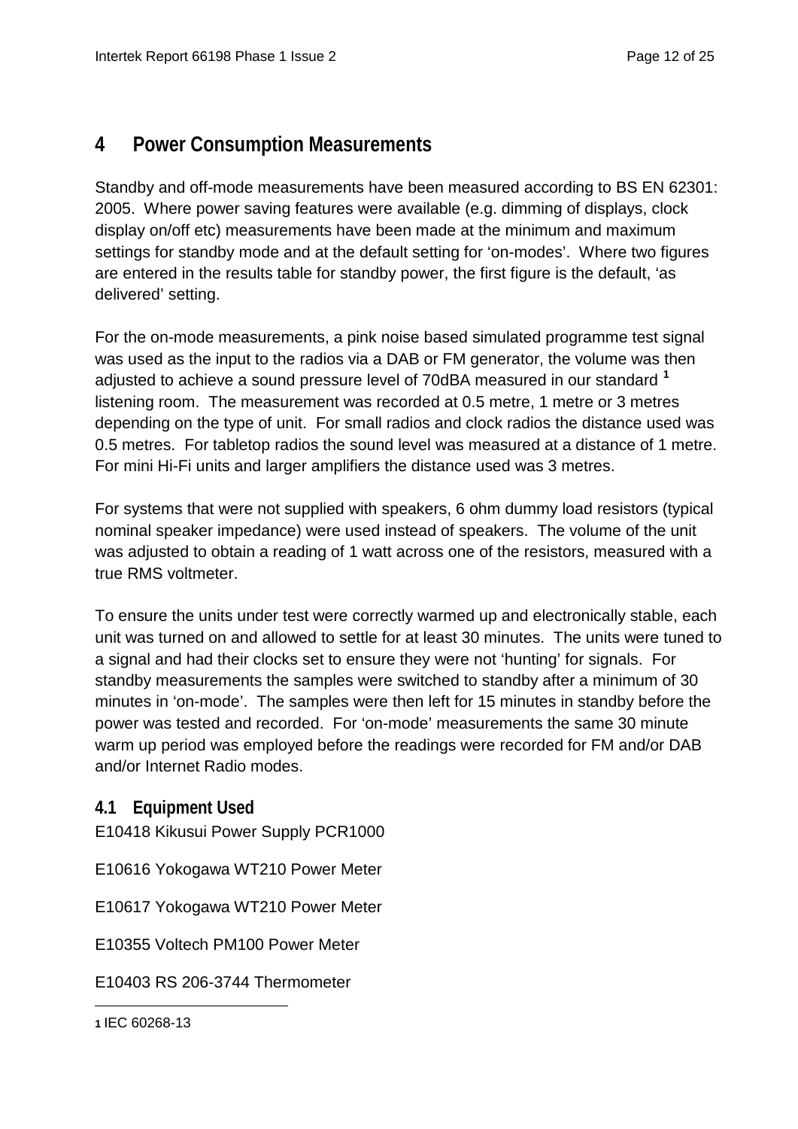### **4 Power Consumption Measurements**

Standby and off-mode measurements have been measured according to BS EN 62301: 2005. Where power saving features were available (e.g. dimming of displays, clock display on/off etc) measurements have been made at the minimum and maximum settings for standby mode and at the default setting for 'on-modes'. Where two figures are entered in the results table for standby power, the first figure is the default, 'as delivered' setting.

For the on-mode measurements, a pink noise based simulated programme test signal was used as the input to the radios via a DAB or FM generator, the volume was then adjusted to achieve a sound pressure level of 70dBA measured in our standard **[1](#page-11-0)** listening room. The measurement was recorded at 0.5 metre, 1 metre or 3 metres depending on the type of unit. For small radios and clock radios the distance used was 0.5 metres. For tabletop radios the sound level was measured at a distance of 1 metre. For mini Hi-Fi units and larger amplifiers the distance used was 3 metres.

For systems that were not supplied with speakers, 6 ohm dummy load resistors (typical nominal speaker impedance) were used instead of speakers. The volume of the unit was adjusted to obtain a reading of 1 watt across one of the resistors, measured with a true RMS voltmeter.

To ensure the units under test were correctly warmed up and electronically stable, each unit was turned on and allowed to settle for at least 30 minutes. The units were tuned to a signal and had their clocks set to ensure they were not 'hunting' for signals. For standby measurements the samples were switched to standby after a minimum of 30 minutes in 'on-mode'. The samples were then left for 15 minutes in standby before the power was tested and recorded. For 'on-mode' measurements the same 30 minute warm up period was employed before the readings were recorded for FM and/or DAB and/or Internet Radio modes.

### **4.1 Equipment Used**

E10418 Kikusui Power Supply PCR1000

E10616 Yokogawa WT210 Power Meter

E10617 Yokogawa WT210 Power Meter

E10355 Voltech PM100 Power Meter

E10403 RS 206-3744 Thermometer

<span id="page-11-0"></span>

| 1 IEC 60268-13 |  |
|----------------|--|
|----------------|--|

-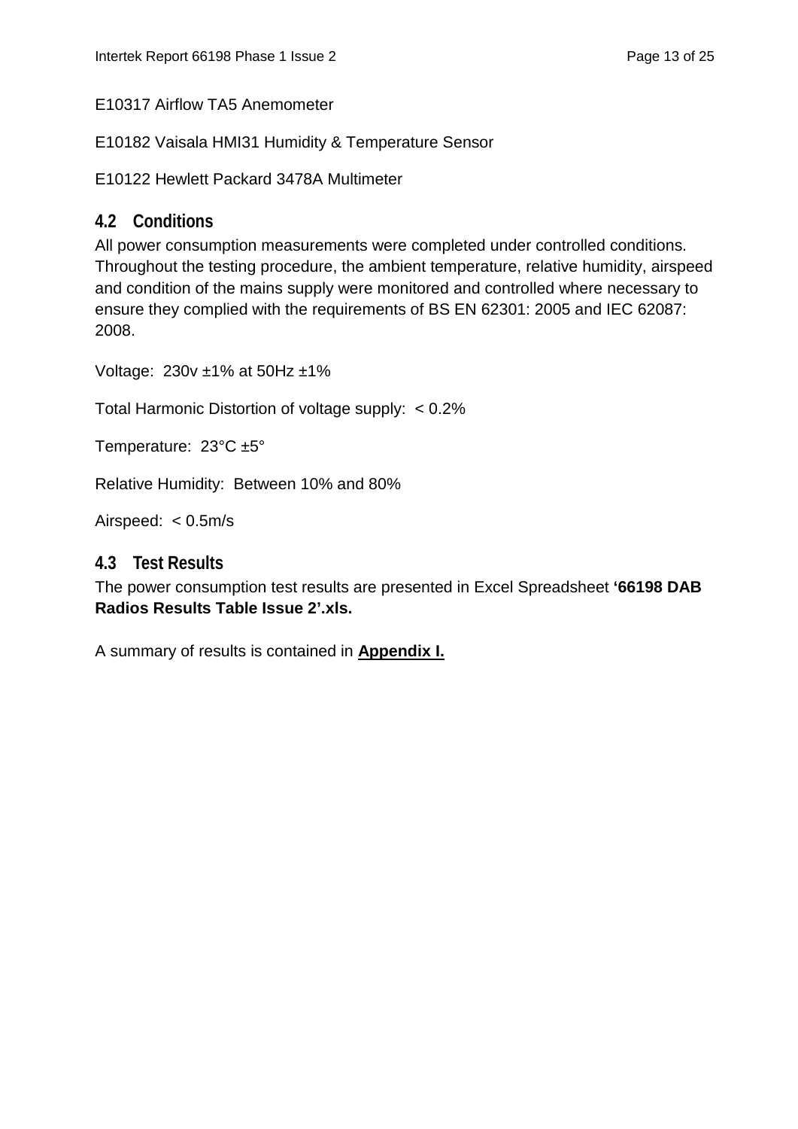E10317 Airflow TA5 Anemometer

E10182 Vaisala HMI31 Humidity & Temperature Sensor

E10122 Hewlett Packard 3478A Multimeter

#### **4.2 Conditions**

All power consumption measurements were completed under controlled conditions. Throughout the testing procedure, the ambient temperature, relative humidity, airspeed and condition of the mains supply were monitored and controlled where necessary to ensure they complied with the requirements of BS EN 62301: 2005 and IEC 62087: 2008.

Voltage: 230v ±1% at 50Hz ±1%

Total Harmonic Distortion of voltage supply: < 0.2%

Temperature: 23°C ±5°

Relative Humidity: Between 10% and 80%

Airspeed: < 0.5m/s

#### **4.3 Test Results**

The power consumption test results are presented in Excel Spreadsheet **'66198 DAB Radios Results Table Issue 2'.xls.**

A summary of results is contained in **Appendix I.**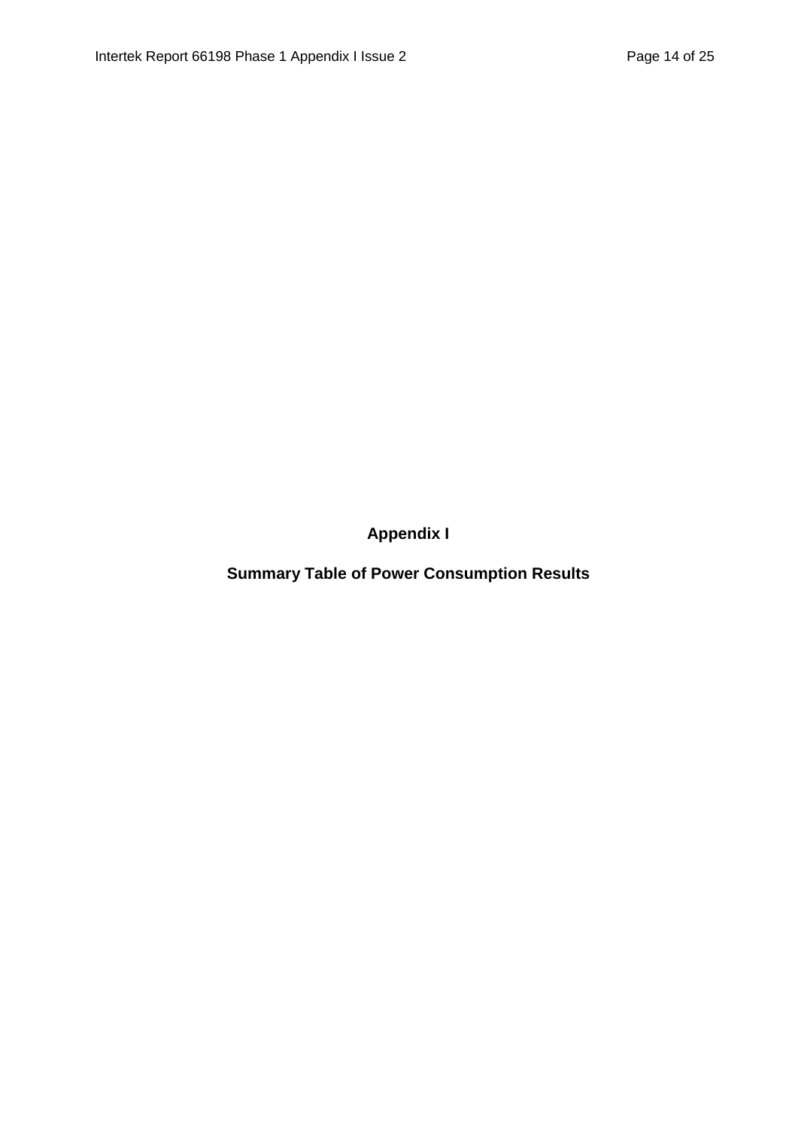**Appendix I**

**Summary Table of Power Consumption Results**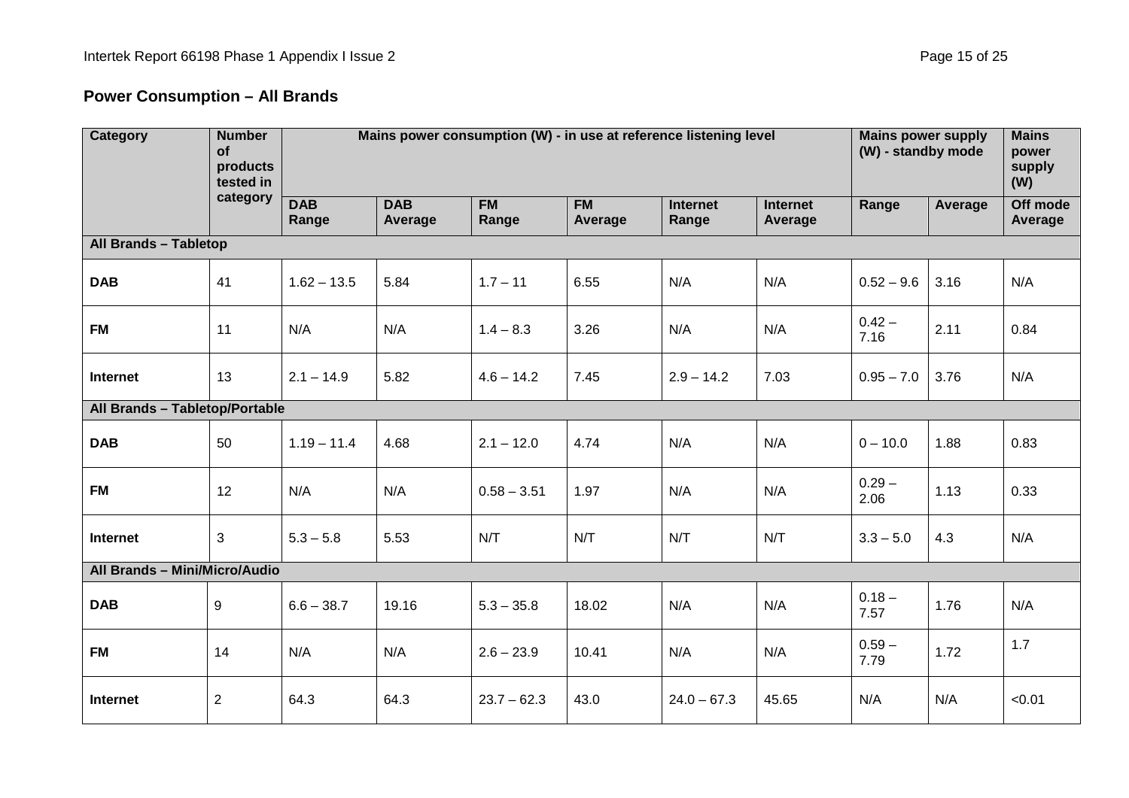# **Power Consumption – All Brands**

| <b>Category</b>                | <b>Number</b><br>Mains power consumption (W) - in use at reference listening level<br>of<br>products<br>tested in |                     |                       |                    |                      |                          |                            | <b>Mains power supply</b><br>(W) - standby mode |         | <b>Mains</b><br>power<br>supply<br>(W) |  |
|--------------------------------|-------------------------------------------------------------------------------------------------------------------|---------------------|-----------------------|--------------------|----------------------|--------------------------|----------------------------|-------------------------------------------------|---------|----------------------------------------|--|
|                                | category                                                                                                          | <b>DAB</b><br>Range | <b>DAB</b><br>Average | <b>FM</b><br>Range | <b>FM</b><br>Average | <b>Internet</b><br>Range | <b>Internet</b><br>Average | Range                                           | Average | Off mode<br>Average                    |  |
| All Brands - Tabletop          |                                                                                                                   |                     |                       |                    |                      |                          |                            |                                                 |         |                                        |  |
| <b>DAB</b>                     | 41                                                                                                                | $1.62 - 13.5$       | 5.84                  | $1.7 - 11$         | 6.55                 | N/A                      | N/A                        | $0.52 - 9.6$                                    | 3.16    | N/A                                    |  |
| <b>FM</b>                      | 11                                                                                                                | N/A                 | N/A                   | $1.4 - 8.3$        | 3.26                 | N/A                      | N/A                        | $0.42 -$<br>7.16                                | 2.11    | 0.84                                   |  |
| Internet                       | 13                                                                                                                | $2.1 - 14.9$        | 5.82                  | $4.6 - 14.2$       | 7.45                 | $2.9 - 14.2$             | 7.03                       | $0.95 - 7.0$                                    | 3.76    | N/A                                    |  |
| All Brands - Tabletop/Portable |                                                                                                                   |                     |                       |                    |                      |                          |                            |                                                 |         |                                        |  |
| <b>DAB</b>                     | 50                                                                                                                | $1.19 - 11.4$       | 4.68                  | $2.1 - 12.0$       | 4.74                 | N/A                      | N/A                        | $0 - 10.0$                                      | 1.88    | 0.83                                   |  |
| <b>FM</b>                      | 12                                                                                                                | N/A                 | N/A                   | $0.58 - 3.51$      | 1.97                 | N/A                      | N/A                        | $0.29 -$<br>2.06                                | 1.13    | 0.33                                   |  |
| Internet                       | 3                                                                                                                 | $5.3 - 5.8$         | 5.53                  | N/T                | N/T                  | N/T                      | N/T                        | $3.3 - 5.0$                                     | 4.3     | N/A                                    |  |
| All Brands - Mini/Micro/Audio  |                                                                                                                   |                     |                       |                    |                      |                          |                            |                                                 |         |                                        |  |
| <b>DAB</b>                     | 9                                                                                                                 | $6.6 - 38.7$        | 19.16                 | $5.3 - 35.8$       | 18.02                | N/A                      | N/A                        | $0.18 -$<br>7.57                                | 1.76    | N/A                                    |  |
| <b>FM</b>                      | 14                                                                                                                | N/A                 | N/A                   | $2.6 - 23.9$       | 10.41                | N/A                      | N/A                        | $0.59 -$<br>7.79                                | 1.72    | 1.7                                    |  |
| Internet                       | $\sqrt{2}$                                                                                                        | 64.3                | 64.3                  | $23.7 - 62.3$      | 43.0                 | $24.0 - 67.3$            | 45.65                      | N/A                                             | N/A     | < 0.01                                 |  |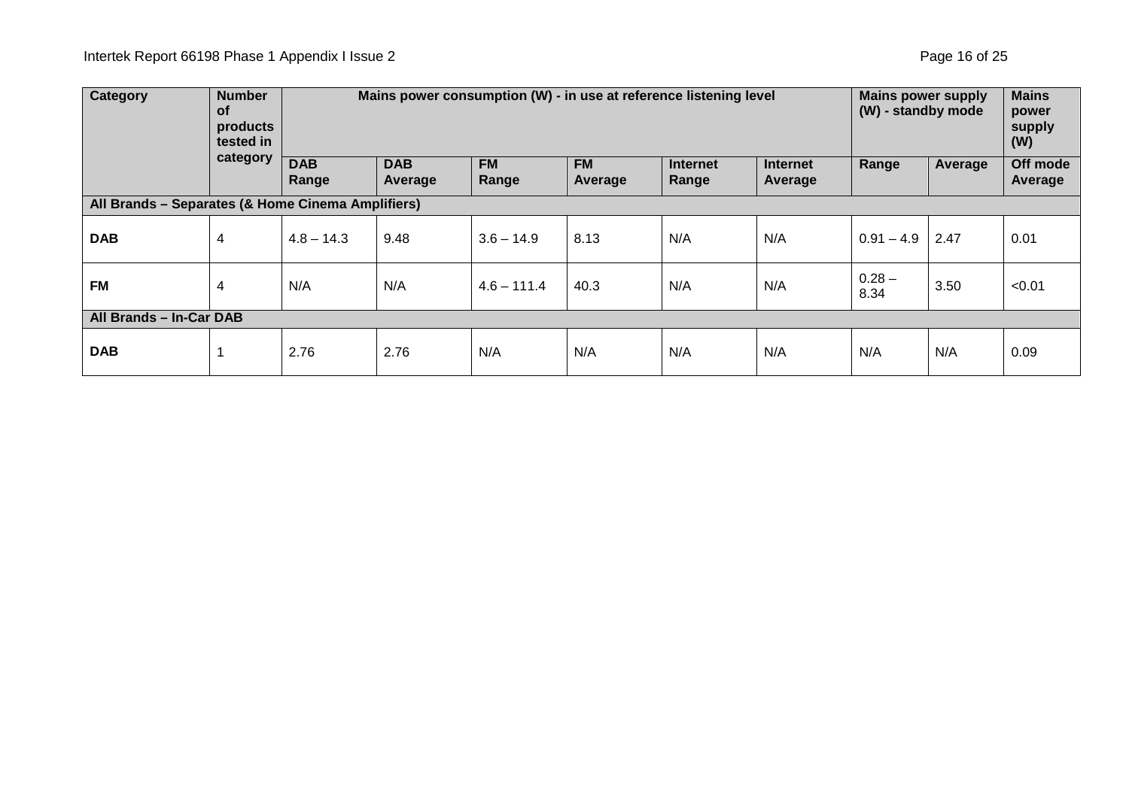| <b>Category</b>                                   | <b>Number</b><br><b>of</b><br>products<br>tested in |                     | Mains power consumption (W) - in use at reference listening level<br><b>Mains power supply</b><br>(W) - standby mode |                    |                      |                          |                            |                  |         | <b>Mains</b><br>power<br>supply<br>(W) |
|---------------------------------------------------|-----------------------------------------------------|---------------------|----------------------------------------------------------------------------------------------------------------------|--------------------|----------------------|--------------------------|----------------------------|------------------|---------|----------------------------------------|
|                                                   | category                                            | <b>DAB</b><br>Range | <b>DAB</b><br>Average                                                                                                | <b>FM</b><br>Range | <b>FM</b><br>Average | <b>Internet</b><br>Range | <b>Internet</b><br>Average | Range            | Average | Off mode<br>Average                    |
| All Brands - Separates (& Home Cinema Amplifiers) |                                                     |                     |                                                                                                                      |                    |                      |                          |                            |                  |         |                                        |
| <b>DAB</b>                                        | 4                                                   | $4.8 - 14.3$        | 9.48                                                                                                                 | $3.6 - 14.9$       | 8.13                 | N/A                      | N/A                        | $0.91 - 4.9$     | 2.47    | 0.01                                   |
| <b>FM</b>                                         | 4                                                   | N/A                 | N/A                                                                                                                  | $4.6 - 111.4$      | 40.3                 | N/A                      | N/A                        | $0.28 -$<br>8.34 | 3.50    | < 0.01                                 |
| All Brands - In-Car DAB                           |                                                     |                     |                                                                                                                      |                    |                      |                          |                            |                  |         |                                        |
| <b>DAB</b>                                        |                                                     | 2.76                | 2.76                                                                                                                 | N/A                | N/A                  | N/A                      | N/A                        | N/A              | N/A     | 0.09                                   |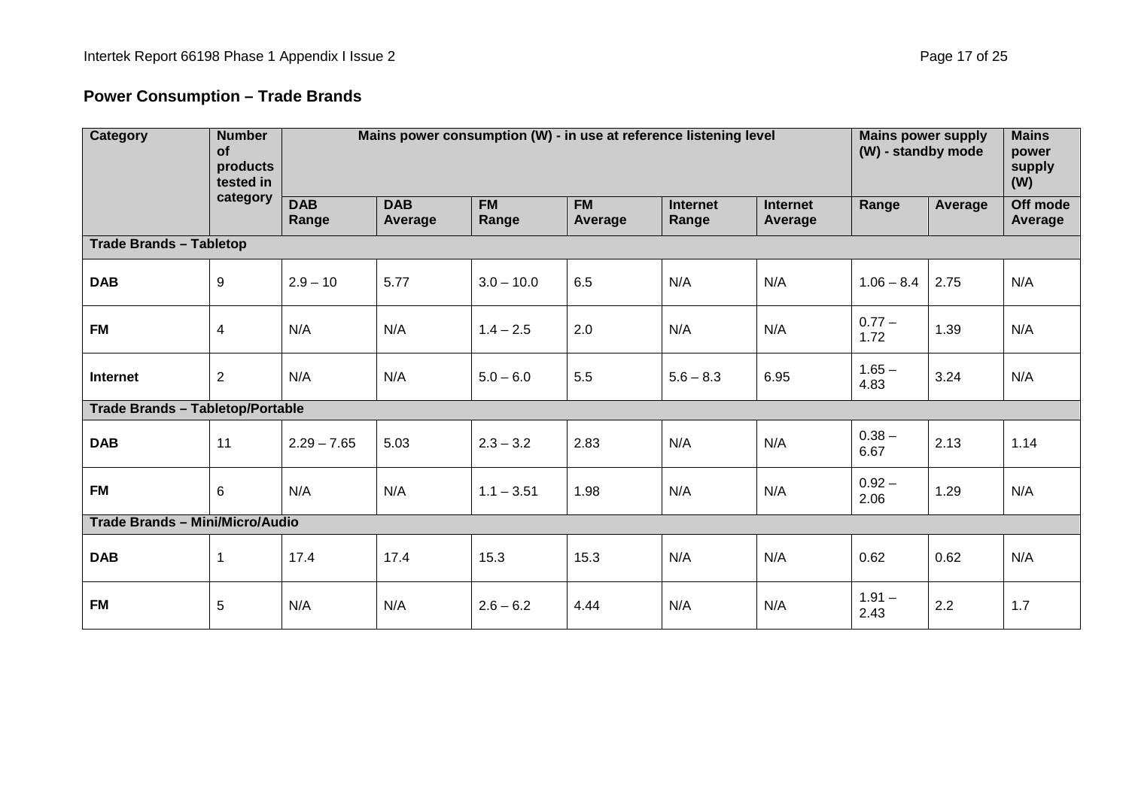# **Power Consumption – Trade Brands**

| Category                                | <b>Number</b><br>of<br>products<br>tested in | Mains power consumption (W) - in use at reference listening level |                       |                    |                      |                          |                            |                  | <b>Mains power supply</b><br>(W) - standby mode |                     |
|-----------------------------------------|----------------------------------------------|-------------------------------------------------------------------|-----------------------|--------------------|----------------------|--------------------------|----------------------------|------------------|-------------------------------------------------|---------------------|
|                                         | category                                     | <b>DAB</b><br>Range                                               | <b>DAB</b><br>Average | <b>FM</b><br>Range | <b>FM</b><br>Average | <b>Internet</b><br>Range | <b>Internet</b><br>Average | Range            | Average                                         | Off mode<br>Average |
| <b>Trade Brands - Tabletop</b>          |                                              |                                                                   |                       |                    |                      |                          |                            |                  |                                                 |                     |
| <b>DAB</b>                              | 9                                            | $2.9 - 10$                                                        | 5.77                  | $3.0 - 10.0$       | 6.5                  | N/A                      | N/A                        | $1.06 - 8.4$     | 2.75                                            | N/A                 |
| <b>FM</b>                               | 4                                            | N/A                                                               | N/A                   | $1.4 - 2.5$        | 2.0                  | N/A                      | N/A                        | $0.77 -$<br>1.72 | 1.39                                            | N/A                 |
| <b>Internet</b>                         | $\overline{2}$                               | N/A                                                               | N/A                   | $5.0 - 6.0$        | 5.5                  | $5.6 - 8.3$              | 6.95                       | $1.65 -$<br>4.83 | 3.24                                            | N/A                 |
| <b>Trade Brands - Tabletop/Portable</b> |                                              |                                                                   |                       |                    |                      |                          |                            |                  |                                                 |                     |
| <b>DAB</b>                              | 11                                           | $2.29 - 7.65$                                                     | 5.03                  | $2.3 - 3.2$        | 2.83                 | N/A                      | N/A                        | $0.38 -$<br>6.67 | 2.13                                            | 1.14                |
| <b>FM</b>                               | 6                                            | N/A                                                               | N/A                   | $1.1 - 3.51$       | 1.98                 | N/A                      | N/A                        | $0.92 -$<br>2.06 | 1.29                                            | N/A                 |
| Trade Brands - Mini/Micro/Audio         |                                              |                                                                   |                       |                    |                      |                          |                            |                  |                                                 |                     |
| <b>DAB</b>                              | 1                                            | 17.4                                                              | 17.4                  | 15.3               | 15.3                 | N/A                      | N/A                        | 0.62             | 0.62                                            | N/A                 |
| <b>FM</b>                               | 5                                            | N/A                                                               | N/A                   | $2.6 - 6.2$        | 4.44                 | N/A                      | N/A                        | $1.91 -$<br>2.43 | 2.2                                             | 1.7                 |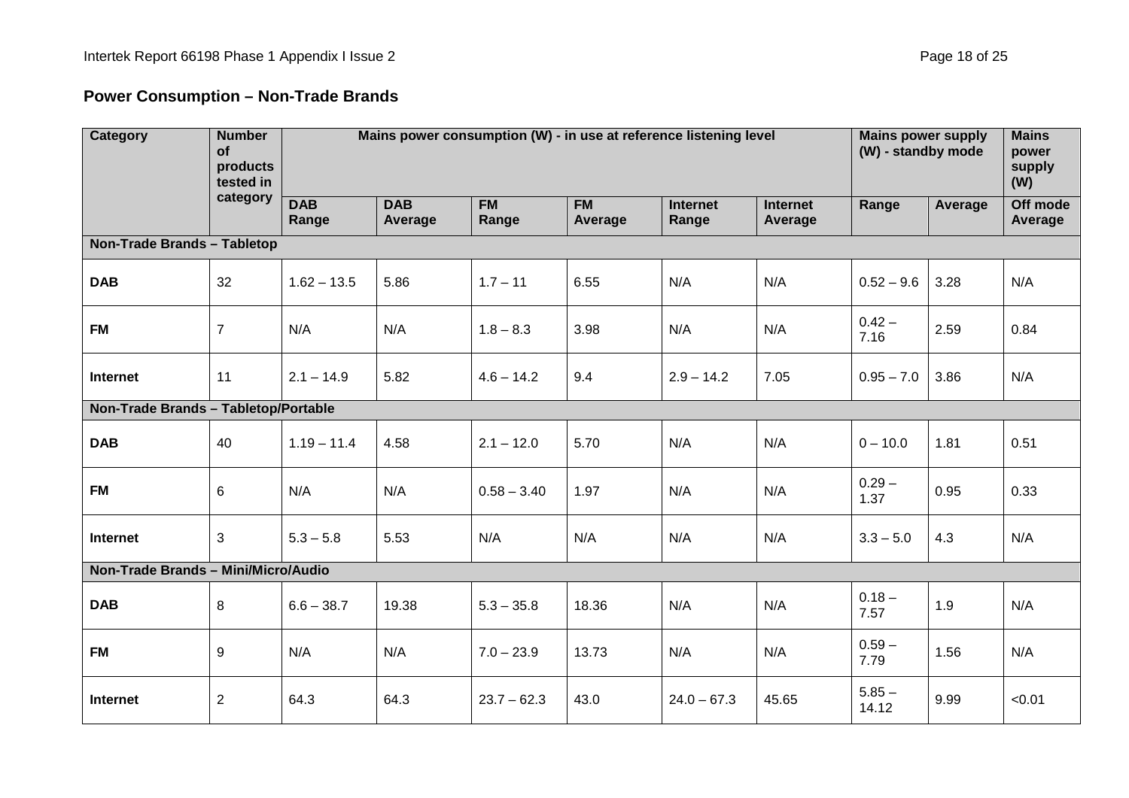# **Power Consumption – Non-Trade Brands**

| <b>Category</b>                      | <b>Number</b><br>of<br>products<br>tested in | Mains power consumption (W) - in use at reference listening level |                       |                    |                      |                          |                            | <b>Mains power supply</b><br>(W) - standby mode |         | <b>Mains</b><br>power<br>supply<br>(W) |
|--------------------------------------|----------------------------------------------|-------------------------------------------------------------------|-----------------------|--------------------|----------------------|--------------------------|----------------------------|-------------------------------------------------|---------|----------------------------------------|
|                                      | category                                     | <b>DAB</b><br>Range                                               | <b>DAB</b><br>Average | <b>FM</b><br>Range | <b>FM</b><br>Average | <b>Internet</b><br>Range | <b>Internet</b><br>Average | Range                                           | Average | Off mode<br>Average                    |
| <b>Non-Trade Brands - Tabletop</b>   |                                              |                                                                   |                       |                    |                      |                          |                            |                                                 |         |                                        |
| <b>DAB</b>                           | 32                                           | $1.62 - 13.5$                                                     | 5.86                  | $1.7 - 11$         | 6.55                 | N/A                      | N/A                        | $0.52 - 9.6$                                    | 3.28    | N/A                                    |
| <b>FM</b>                            | $\overline{7}$                               | N/A                                                               | N/A                   | $1.8 - 8.3$        | 3.98                 | N/A                      | N/A                        | $0.42 -$<br>7.16                                | 2.59    | 0.84                                   |
| Internet                             | 11                                           | $2.1 - 14.9$                                                      | 5.82                  | $4.6 - 14.2$       | 9.4                  | $2.9 - 14.2$             | 7.05                       | $0.95 - 7.0$                                    | 3.86    | N/A                                    |
| Non-Trade Brands - Tabletop/Portable |                                              |                                                                   |                       |                    |                      |                          |                            |                                                 |         |                                        |
| <b>DAB</b>                           | 40                                           | $1.19 - 11.4$                                                     | 4.58                  | $2.1 - 12.0$       | 5.70                 | N/A                      | N/A                        | $0 - 10.0$                                      | 1.81    | 0.51                                   |
| <b>FM</b>                            | 6                                            | N/A                                                               | N/A                   | $0.58 - 3.40$      | 1.97                 | N/A                      | N/A                        | $0.29 -$<br>1.37                                | 0.95    | 0.33                                   |
| Internet                             | 3                                            | $5.3 - 5.8$                                                       | 5.53                  | N/A                | N/A                  | N/A                      | N/A                        | $3.3 - 5.0$                                     | 4.3     | N/A                                    |
| Non-Trade Brands - Mini/Micro/Audio  |                                              |                                                                   |                       |                    |                      |                          |                            |                                                 |         |                                        |
| <b>DAB</b>                           | 8                                            | $6.6 - 38.7$                                                      | 19.38                 | $5.3 - 35.8$       | 18.36                | N/A                      | N/A                        | $0.18 -$<br>7.57                                | 1.9     | N/A                                    |
| <b>FM</b>                            | 9                                            | N/A                                                               | N/A                   | $7.0 - 23.9$       | 13.73                | N/A                      | N/A                        | $0.59 -$<br>7.79                                | 1.56    | N/A                                    |
| Internet                             | $\overline{2}$                               | 64.3                                                              | 64.3                  | $23.7 - 62.3$      | 43.0                 | $24.0 - 67.3$            | 45.65                      | $5.85 -$<br>14.12                               | 9.99    | < 0.01                                 |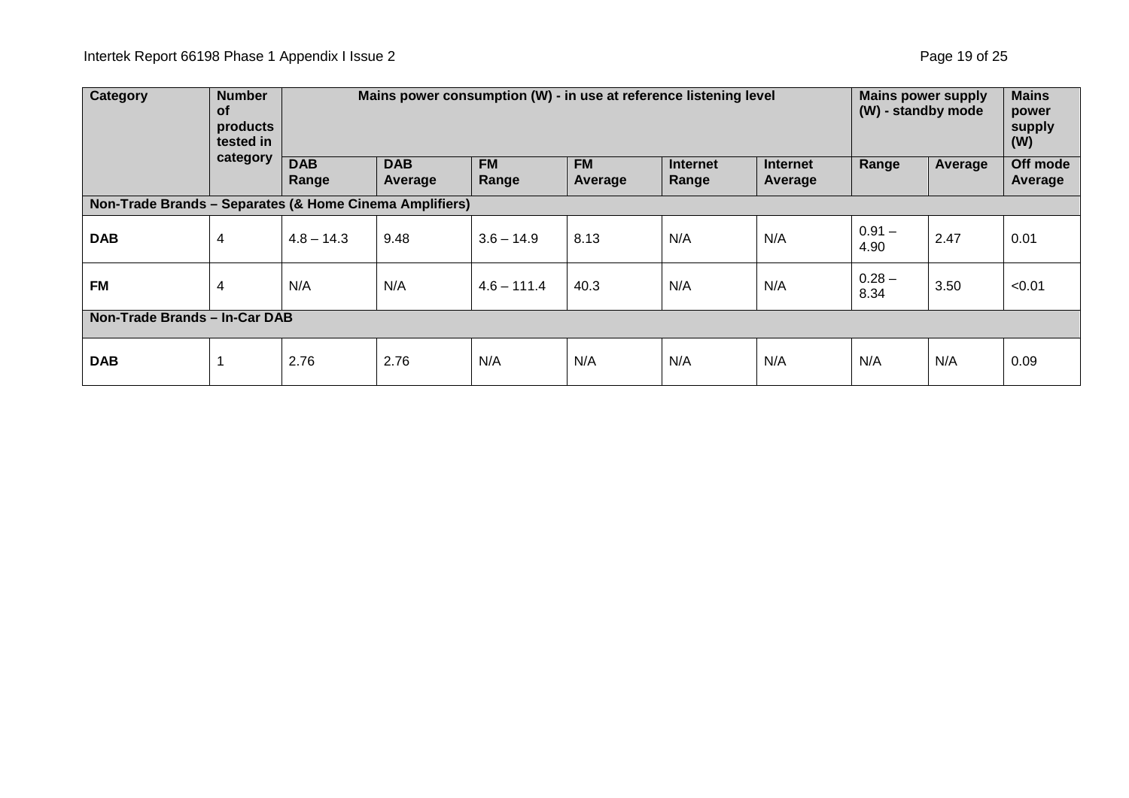| <b>Category</b>                                         | <b>Number</b><br><b>of</b><br>products<br>tested in | Mains power consumption (W) - in use at reference listening level |                       |                    |                      |                          | <b>Mains power supply</b><br>(W) - standby mode |                  | <b>Mains</b><br>power<br>supply<br>(W) |                     |
|---------------------------------------------------------|-----------------------------------------------------|-------------------------------------------------------------------|-----------------------|--------------------|----------------------|--------------------------|-------------------------------------------------|------------------|----------------------------------------|---------------------|
| category                                                |                                                     | <b>DAB</b><br>Range                                               | <b>DAB</b><br>Average | <b>FM</b><br>Range | <b>FM</b><br>Average | <b>Internet</b><br>Range | <b>Internet</b><br>Average                      | Range            | Average                                | Off mode<br>Average |
| Non-Trade Brands - Separates (& Home Cinema Amplifiers) |                                                     |                                                                   |                       |                    |                      |                          |                                                 |                  |                                        |                     |
| <b>DAB</b>                                              | 4                                                   | $4.8 - 14.3$                                                      | 9.48                  | $3.6 - 14.9$       | 8.13                 | N/A                      | N/A                                             | $0.91 -$<br>4.90 | 2.47                                   | 0.01                |
| <b>FM</b>                                               | 4                                                   | N/A                                                               | N/A                   | $4.6 - 111.4$      | 40.3                 | N/A                      | N/A                                             | $0.28 -$<br>8.34 | 3.50                                   | < 0.01              |
| Non-Trade Brands - In-Car DAB                           |                                                     |                                                                   |                       |                    |                      |                          |                                                 |                  |                                        |                     |
| <b>DAB</b>                                              |                                                     | 2.76                                                              | 2.76                  | N/A                | N/A                  | N/A                      | N/A                                             | N/A              | N/A                                    | 0.09                |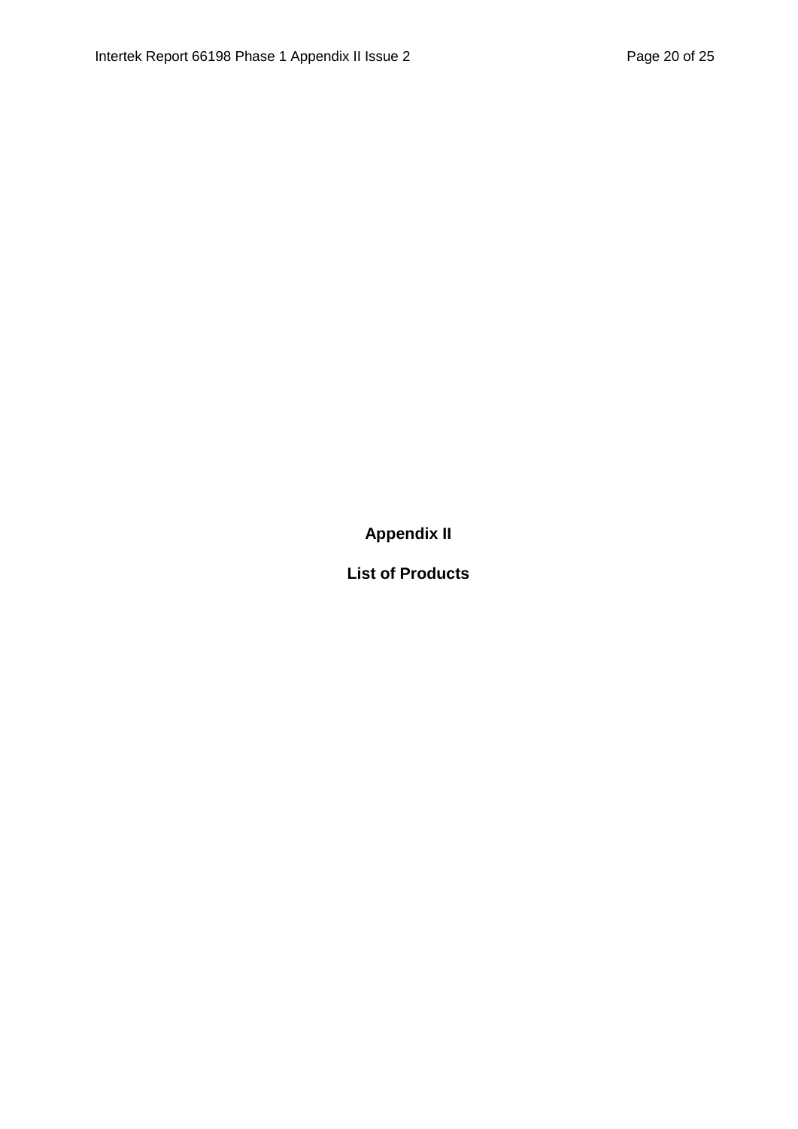**Appendix II**

**List of Products**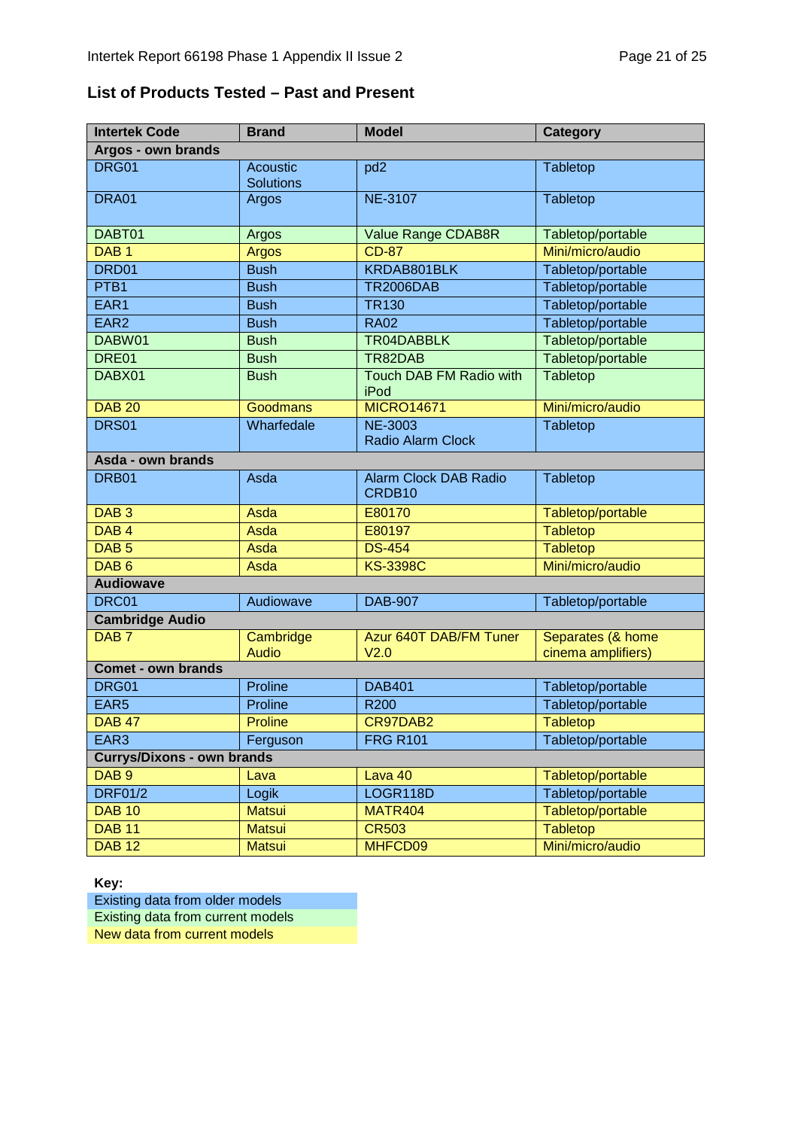#### **List of Products Tested – Past and Present**

| <b>Intertek Code</b>              | <b>Brand</b>                        | <b>Model</b>                                       | <b>Category</b>                         |  |  |  |  |  |
|-----------------------------------|-------------------------------------|----------------------------------------------------|-----------------------------------------|--|--|--|--|--|
| Argos - own brands                |                                     |                                                    |                                         |  |  |  |  |  |
| DRG01                             | <b>Acoustic</b><br><b>Solutions</b> | pd <sub>2</sub>                                    | <b>Tabletop</b>                         |  |  |  |  |  |
| DRA01                             | Argos                               | <b>NE-3107</b>                                     | Tabletop                                |  |  |  |  |  |
| DABT01                            | Argos                               | Value Range CDAB8R                                 | Tabletop/portable                       |  |  |  |  |  |
| DAB <sub>1</sub>                  | Argos                               | <b>CD-87</b>                                       | Mini/micro/audio                        |  |  |  |  |  |
| DRD01                             | <b>Bush</b>                         | KRDAB801BLK                                        | Tabletop/portable                       |  |  |  |  |  |
| PTB <sub>1</sub>                  | <b>Bush</b>                         | <b>TR2006DAB</b>                                   | Tabletop/portable                       |  |  |  |  |  |
| EAR1                              | <b>Bush</b>                         | <b>TR130</b>                                       | Tabletop/portable                       |  |  |  |  |  |
| EAR <sub>2</sub>                  | <b>Bush</b>                         | <b>RA02</b>                                        | Tabletop/portable                       |  |  |  |  |  |
| DABW01                            | <b>Bush</b>                         | TR04DABBLK                                         | Tabletop/portable                       |  |  |  |  |  |
| DRE01                             | <b>Bush</b>                         | TR82DAB                                            | Tabletop/portable                       |  |  |  |  |  |
| DABX01                            | <b>Bush</b>                         | Touch DAB FM Radio with<br>iPod                    | Tabletop                                |  |  |  |  |  |
| <b>DAB 20</b>                     | Goodmans                            | <b>MICRO14671</b>                                  | Mini/micro/audio                        |  |  |  |  |  |
| <b>DRS01</b>                      | Wharfedale                          | <b>NE-3003</b><br><b>Radio Alarm Clock</b>         | Tabletop                                |  |  |  |  |  |
| Asda - own brands                 |                                     |                                                    |                                         |  |  |  |  |  |
| DRB01                             | Asda                                | <b>Alarm Clock DAB Radio</b><br>CRDB <sub>10</sub> | Tabletop                                |  |  |  |  |  |
| DAB <sub>3</sub>                  | Asda                                | E80170                                             | Tabletop/portable                       |  |  |  |  |  |
| DAB <sub>4</sub>                  | Asda                                | E80197                                             | <b>Tabletop</b>                         |  |  |  |  |  |
| DAB <sub>5</sub>                  | Asda                                | <b>DS-454</b>                                      | <b>Tabletop</b>                         |  |  |  |  |  |
| DAB <sub>6</sub>                  | Asda                                | <b>KS-3398C</b>                                    | Mini/micro/audio                        |  |  |  |  |  |
| <b>Audiowave</b>                  |                                     |                                                    |                                         |  |  |  |  |  |
| DRC01                             | Audiowave                           | <b>DAB-907</b>                                     | Tabletop/portable                       |  |  |  |  |  |
| <b>Cambridge Audio</b>            |                                     |                                                    |                                         |  |  |  |  |  |
| DAB <sub>7</sub>                  | Cambridge<br><b>Audio</b>           | Azur 640T DAB/FM Tuner<br>V <sub>2.0</sub>         | Separates (& home<br>cinema amplifiers) |  |  |  |  |  |
| <b>Comet - own brands</b>         |                                     |                                                    |                                         |  |  |  |  |  |
| DRG01                             | Proline                             | <b>DAB401</b>                                      | Tabletop/portable                       |  |  |  |  |  |
| EAR <sub>5</sub>                  | Proline                             | <b>R200</b>                                        | Tabletop/portable                       |  |  |  |  |  |
| <b>DAB 47</b>                     | Proline                             | CR97DAB2                                           | Tabletop                                |  |  |  |  |  |
| EAR <sub>3</sub>                  | Ferguson                            | <b>FRG R101</b>                                    | Tabletop/portable                       |  |  |  |  |  |
| <b>Currys/Dixons - own brands</b> |                                     |                                                    |                                         |  |  |  |  |  |
| DAB <sub>9</sub>                  | Lava                                | Lava 40                                            | Tabletop/portable                       |  |  |  |  |  |
| <b>DRF01/2</b>                    | Logik                               | LOGR118D                                           | Tabletop/portable                       |  |  |  |  |  |
| <b>DAB 10</b>                     | <b>Matsui</b>                       | <b>MATR404</b>                                     | Tabletop/portable                       |  |  |  |  |  |
| <b>DAB 11</b>                     | <b>Matsui</b>                       | <b>CR503</b>                                       | <b>Tabletop</b>                         |  |  |  |  |  |
| <b>DAB 12</b>                     | <b>Matsui</b>                       | MHFCD09                                            | Mini/micro/audio                        |  |  |  |  |  |

**Key:**

Existing data from older models Existing data from current models New data from current models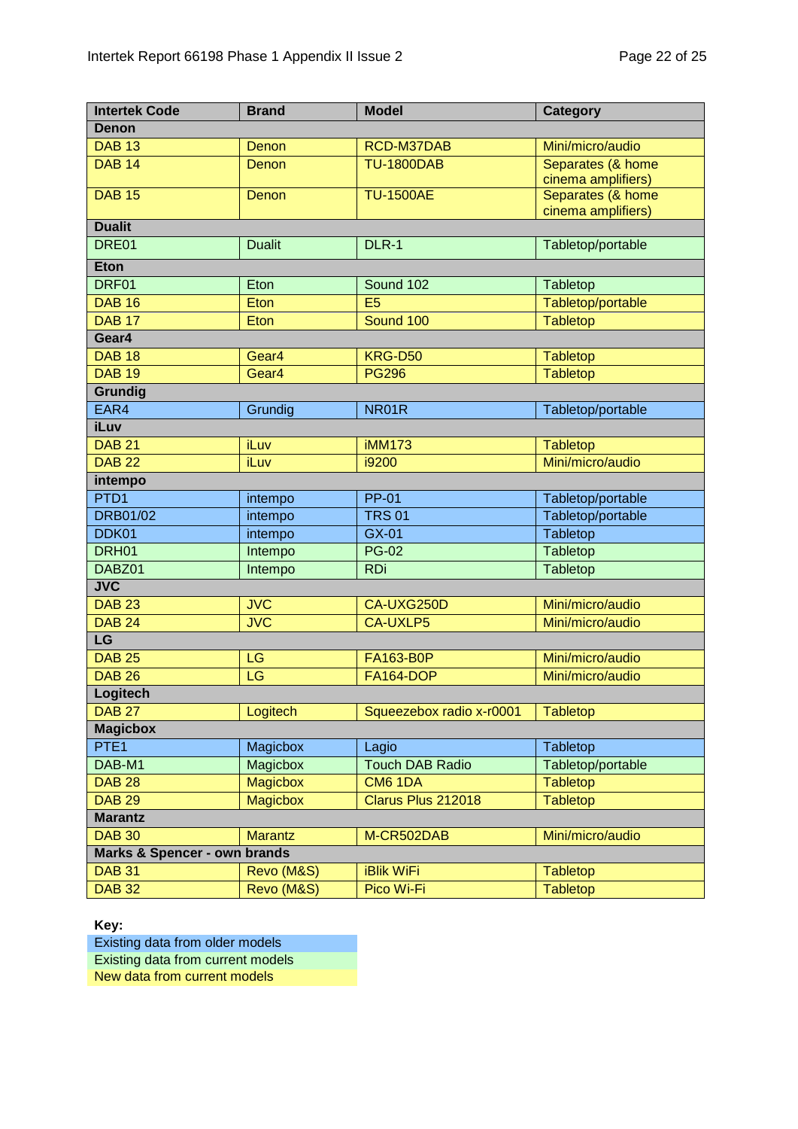| <b>Intertek Code</b>                    | <b>Brand</b>      | <b>Model</b>             | <b>Category</b>                         |
|-----------------------------------------|-------------------|--------------------------|-----------------------------------------|
| <b>Denon</b>                            |                   |                          |                                         |
| <b>DAB 13</b>                           | Denon             | RCD-M37DAB               | Mini/micro/audio                        |
| <b>DAB 14</b>                           | Denon             | <b>TU-1800DAB</b>        | Separates (& home<br>cinema amplifiers) |
| <b>DAB 15</b>                           | Denon             | <b>TU-1500AE</b>         | Separates (& home<br>cinema amplifiers) |
| <b>Dualit</b>                           |                   |                          |                                         |
| DRE01                                   | <b>Dualit</b>     | DLR-1                    | Tabletop/portable                       |
| <b>Eton</b>                             |                   |                          |                                         |
| DRF01                                   | Eton              | Sound 102                | Tabletop                                |
| <b>DAB 16</b>                           | Eton              | E <sub>5</sub>           | Tabletop/portable                       |
| <b>DAB 17</b>                           | Eton              | Sound 100                | <b>Tabletop</b>                         |
| Gear4                                   |                   |                          |                                         |
| <b>DAB 18</b>                           | Gear <sub>4</sub> | <b>KRG-D50</b>           | <b>Tabletop</b>                         |
| <b>DAB 19</b>                           | Gear4             | <b>PG296</b>             | <b>Tabletop</b>                         |
| Grundig                                 |                   |                          |                                         |
| EAR4                                    | Grundig           | NR01R                    | Tabletop/portable                       |
| <b>iLuv</b>                             |                   |                          |                                         |
| <b>DAB 21</b>                           | iLuv              | <b>iMM173</b>            | <b>Tabletop</b>                         |
| <b>DAB 22</b>                           | iLuv              | i9200                    | Mini/micro/audio                        |
| intempo                                 |                   |                          |                                         |
| PTD <sub>1</sub>                        | intempo           | <b>PP-01</b>             | Tabletop/portable                       |
| <b>DRB01/02</b>                         | intempo           | <b>TRS 01</b>            | Tabletop/portable                       |
| DDK01                                   | intempo           | GX-01                    | Tabletop                                |
| DRH01                                   | Intempo           | <b>PG-02</b>             | Tabletop                                |
| DABZ01                                  | Intempo           | <b>RDi</b>               | Tabletop                                |
| <b>JVC</b>                              |                   |                          |                                         |
| <b>DAB 23</b>                           | <b>JVC</b>        | CA-UXG250D               | Mini/micro/audio                        |
| <b>DAB 24</b>                           | <b>JVC</b>        | <b>CA-UXLP5</b>          | Mini/micro/audio                        |
| LG                                      |                   |                          |                                         |
| <b>DAB 25</b>                           | LG                | <b>FA163-B0P</b>         | Mini/micro/audio                        |
| <b>DAB 26</b>                           | LG                | <b>FA164-DOP</b>         | Mini/micro/audio                        |
| Logitech                                |                   |                          |                                         |
| <b>DAB 27</b>                           | Logitech          | Squeezebox radio x-r0001 | <b>Tabletop</b>                         |
| <b>Magicbox</b>                         |                   |                          |                                         |
| PTE <sub>1</sub>                        | Magicbox          | Lagio                    | Tabletop                                |
| DAB-M1                                  | Magicbox          | <b>Touch DAB Radio</b>   | Tabletop/portable                       |
| <b>DAB 28</b>                           | <b>Magicbox</b>   | <b>CM6 1DA</b>           | <b>Tabletop</b>                         |
| <b>DAB 29</b>                           | <b>Magicbox</b>   | Clarus Plus 212018       | <b>Tabletop</b>                         |
| <b>Marantz</b>                          |                   |                          |                                         |
| <b>DAB 30</b>                           | <b>Marantz</b>    | M-CR502DAB               | Mini/micro/audio                        |
| <b>Marks &amp; Spencer - own brands</b> |                   |                          |                                         |
| <b>DAB 31</b>                           | Revo (M&S)        | <b>iBlik WiFi</b>        | <b>Tabletop</b>                         |
| <b>DAB 32</b>                           | Revo (M&S)        | Pico Wi-Fi               | <b>Tabletop</b>                         |

**Key:**

Existing data from older models

Existing data from current models

New data from current models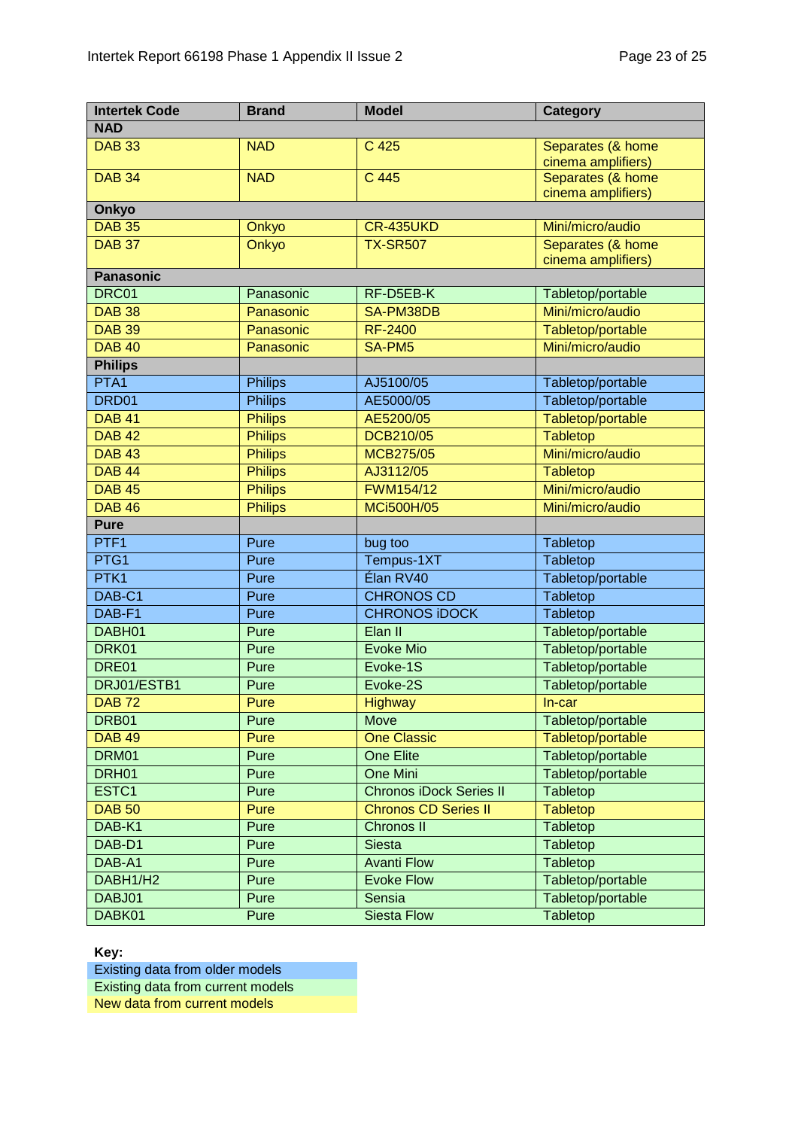| <b>Intertek Code</b>           | <b>Brand</b>   | <b>Model</b>                   | <b>Category</b>                         |
|--------------------------------|----------------|--------------------------------|-----------------------------------------|
| <b>NAD</b>                     |                |                                |                                         |
| <b>DAB 33</b>                  | <b>NAD</b>     | C 425                          | Separates (& home                       |
|                                |                |                                | cinema amplifiers)                      |
| <b>DAB 34</b>                  | <b>NAD</b>     | C 445                          | Separates (& home                       |
|                                |                |                                | cinema amplifiers)                      |
| Onkyo                          |                |                                |                                         |
| <b>DAB 35</b>                  | Onkyo          | <b>CR-435UKD</b>               | Mini/micro/audio                        |
| <b>DAB 37</b>                  | Onkyo          | <b>TX-SR507</b>                | Separates (& home<br>cinema amplifiers) |
| <b>Panasonic</b>               |                |                                |                                         |
| DRC01                          | Panasonic      | RF-D5EB-K                      | Tabletop/portable                       |
| <b>DAB 38</b>                  | Panasonic      | SA-PM38DB                      | Mini/micro/audio                        |
| <b>DAB 39</b>                  | Panasonic      | <b>RF-2400</b>                 | Tabletop/portable                       |
| <b>DAB 40</b>                  | Panasonic      | SA-PM5                         | Mini/micro/audio                        |
| <b>Philips</b>                 |                |                                |                                         |
| PTA1                           | <b>Philips</b> | AJ5100/05                      | Tabletop/portable                       |
| DRD <sub>01</sub>              | <b>Philips</b> | AE5000/05                      | Tabletop/portable                       |
| <b>DAB 41</b>                  | <b>Philips</b> | AE5200/05                      | Tabletop/portable                       |
| <b>DAB 42</b>                  | <b>Philips</b> | <b>DCB210/05</b>               | <b>Tabletop</b>                         |
| <b>DAB 43</b>                  | <b>Philips</b> | MCB275/05                      | Mini/micro/audio                        |
| <b>DAB 44</b>                  |                | AJ3112/05                      |                                         |
|                                | <b>Philips</b> |                                | <b>Tabletop</b><br>Mini/micro/audio     |
| <b>DAB 45</b><br><b>DAB 46</b> | <b>Philips</b> | FWM154/12                      |                                         |
|                                | <b>Philips</b> | <b>MCi500H/05</b>              | Mini/micro/audio                        |
| <b>Pure</b>                    |                |                                |                                         |
| PTF <sub>1</sub>               | Pure           | bug too                        | Tabletop                                |
| PTG1                           | Pure           | Tempus-1XT                     | Tabletop                                |
| PTK <sub>1</sub>               | Pure           | Élan RV40                      | Tabletop/portable                       |
| DAB-C1                         | Pure           | <b>CHRONOS CD</b>              | Tabletop                                |
| DAB-F1                         | Pure           | <b>CHRONOS IDOCK</b>           | Tabletop                                |
| DABH01                         | Pure           | Elan II                        | Tabletop/portable                       |
| DRK01                          | Pure           | <b>Evoke Mio</b>               | Tabletop/portable                       |
| DRE01                          | Pure           | Evoke-1S                       | Tabletop/portable                       |
| DRJ01/ESTB1                    | Pure           | Evoke-2S                       | Tabletop/portable                       |
| <b>DAB72</b>                   | Pure           | <b>Highway</b>                 | $In-car$                                |
| DRB01                          | Pure           | Move                           | Tabletop/portable                       |
| <b>DAB 49</b>                  | Pure           | <b>One Classic</b>             | Tabletop/portable                       |
| DRM01                          | Pure           | One Elite                      | Tabletop/portable                       |
| DRH01                          | Pure           | One Mini                       | Tabletop/portable                       |
| ESTC1                          | Pure           | <b>Chronos iDock Series II</b> | <b>Tabletop</b>                         |
| <b>DAB 50</b>                  | Pure           | <b>Chronos CD Series II</b>    | <b>Tabletop</b>                         |
| DAB-K1                         | Pure           | <b>Chronos II</b>              | Tabletop                                |
| DAB-D1                         | Pure           | <b>Siesta</b>                  | Tabletop                                |
| DAB-A1                         | Pure           | <b>Avanti Flow</b>             | Tabletop                                |
| DABH1/H2                       | Pure           | <b>Evoke Flow</b>              | Tabletop/portable                       |
| DABJ01                         | Pure           | Sensia                         | Tabletop/portable                       |
| DABK01                         | Pure           | <b>Siesta Flow</b>             | <b>Tabletop</b>                         |

**Key:**

Existing data from older models Existing data from current models New data from current models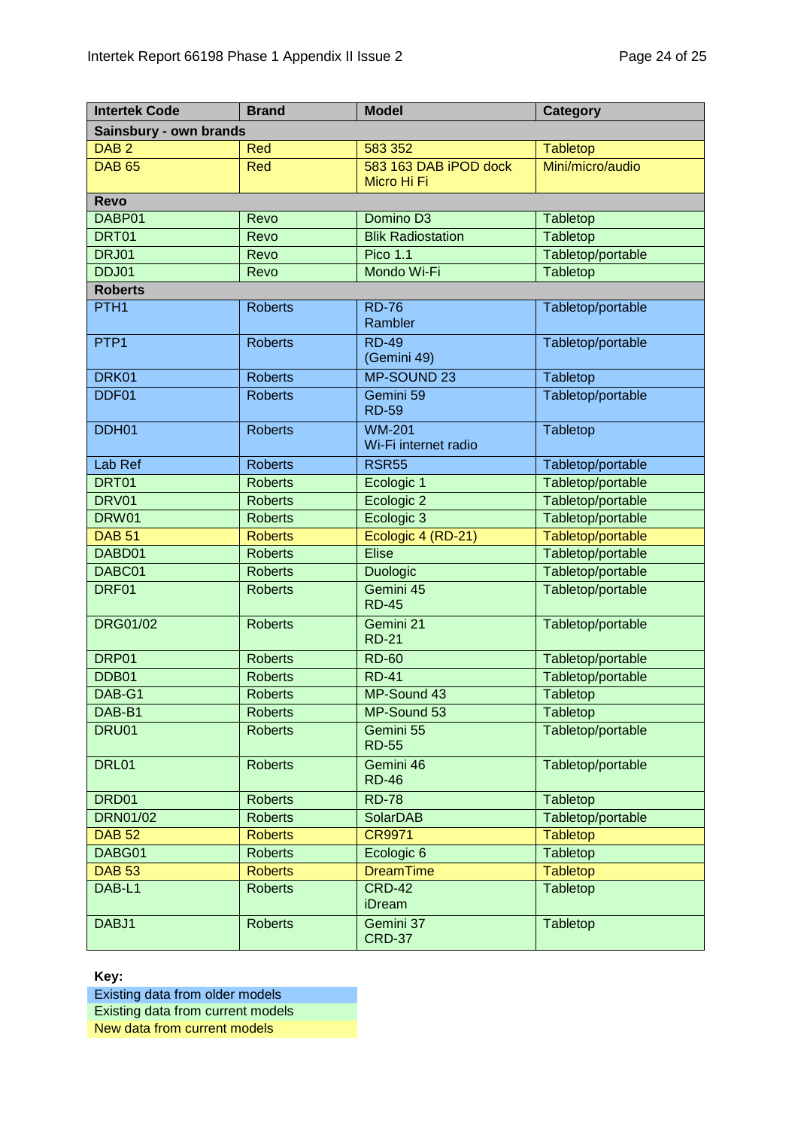| <b>Intertek Code</b>   | <b>Brand</b>   | <b>Model</b>                          | <b>Category</b>   |  |  |  |  |
|------------------------|----------------|---------------------------------------|-------------------|--|--|--|--|
| Sainsbury - own brands |                |                                       |                   |  |  |  |  |
| DAB <sub>2</sub>       | Red            | 583 352                               | <b>Tabletop</b>   |  |  |  |  |
| <b>DAB 65</b>          | <b>Red</b>     | 583 163 DAB iPOD dock<br>Micro Hi Fi  | Mini/micro/audio  |  |  |  |  |
| <b>Revo</b>            |                |                                       |                   |  |  |  |  |
| DABP01                 | Revo           | Domino D3                             | Tabletop          |  |  |  |  |
| DRT01                  | Revo           | <b>Blik Radiostation</b>              | Tabletop          |  |  |  |  |
| <b>DRJ01</b>           | Revo           | <b>Pico 1.1</b>                       | Tabletop/portable |  |  |  |  |
| DDJ01                  | Revo           | Mondo Wi-Fi                           | Tabletop          |  |  |  |  |
| <b>Roberts</b>         |                |                                       |                   |  |  |  |  |
| PTH <sub>1</sub>       | <b>Roberts</b> | <b>RD-76</b><br>Rambler               | Tabletop/portable |  |  |  |  |
| PTP <sub>1</sub>       | <b>Roberts</b> | <b>RD-49</b><br>(Gemini 49)           | Tabletop/portable |  |  |  |  |
| DRK01                  | <b>Roberts</b> | MP-SOUND 23                           | Tabletop          |  |  |  |  |
| DDF01                  | <b>Roberts</b> | Gemini 59<br><b>RD-59</b>             | Tabletop/portable |  |  |  |  |
| DDH01                  | <b>Roberts</b> | <b>WM-201</b><br>Wi-Fi internet radio | Tabletop          |  |  |  |  |
| Lab Ref                | <b>Roberts</b> | <b>RSR55</b>                          | Tabletop/portable |  |  |  |  |
| DRT01                  | <b>Roberts</b> | Ecologic 1                            | Tabletop/portable |  |  |  |  |
| DRV01                  | <b>Roberts</b> | Ecologic 2                            | Tabletop/portable |  |  |  |  |
| DRW01                  | <b>Roberts</b> | Ecologic 3                            | Tabletop/portable |  |  |  |  |
| <b>DAB 51</b>          | <b>Roberts</b> | Ecologic 4 (RD-21)                    | Tabletop/portable |  |  |  |  |
| DABD01                 | <b>Roberts</b> | <b>Elise</b>                          | Tabletop/portable |  |  |  |  |
| DABC01                 | <b>Roberts</b> | <b>Duologic</b>                       | Tabletop/portable |  |  |  |  |
| DRF01                  | <b>Roberts</b> | Gemini 45<br><b>RD-45</b>             | Tabletop/portable |  |  |  |  |
| <b>DRG01/02</b>        | <b>Roberts</b> | Gemini 21<br><b>RD-21</b>             | Tabletop/portable |  |  |  |  |
| DRP01                  | <b>Roberts</b> | <b>RD-60</b>                          | Tabletop/portable |  |  |  |  |
| DDB01                  | <b>Roberts</b> | <b>RD-41</b>                          | Tabletop/portable |  |  |  |  |
| DAB-G1                 | <b>Roberts</b> | MP-Sound 43                           | Tabletop          |  |  |  |  |
| DAB-B1                 | <b>Roberts</b> | MP-Sound 53                           | Tabletop          |  |  |  |  |
| <b>DRU01</b>           | <b>Roberts</b> | Gemini 55<br><b>RD-55</b>             | Tabletop/portable |  |  |  |  |
| DRL01                  | <b>Roberts</b> | Gemini 46<br><b>RD-46</b>             | Tabletop/portable |  |  |  |  |
| DRD01                  | <b>Roberts</b> | <b>RD-78</b>                          | Tabletop          |  |  |  |  |
| <b>DRN01/02</b>        | <b>Roberts</b> | <b>SolarDAB</b>                       | Tabletop/portable |  |  |  |  |
| <b>DAB 52</b>          | <b>Roberts</b> | <b>CR9971</b>                         | <b>Tabletop</b>   |  |  |  |  |
| DABG01                 | <b>Roberts</b> | Ecologic <sub>6</sub>                 | Tabletop          |  |  |  |  |
| <b>DAB 53</b>          | <b>Roberts</b> | <b>DreamTime</b>                      | <b>Tabletop</b>   |  |  |  |  |
| DAB-L1                 | <b>Roberts</b> | <b>CRD-42</b><br>iDream               | Tabletop          |  |  |  |  |
| DABJ1                  | <b>Roberts</b> | Gemini 37<br><b>CRD-37</b>            | Tabletop          |  |  |  |  |

**Key:**

Existing data from older models Existing data from current models New data from current models